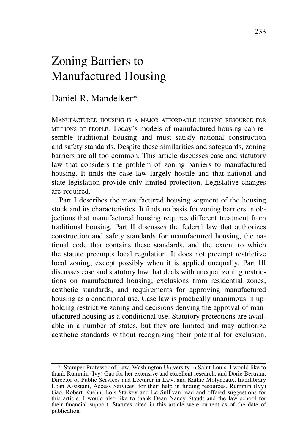# Zoning Barriers to Manufactured Housing

# Daniel R. Mandelker\*

MANUFACTURED HOUSING IS A MAJOR AFFORDABLE HOUSING RESOURCE FOR MILLIONS OF PEOPLE. Today's models of manufactured housing can resemble traditional housing and must satisfy national construction and safety standards. Despite these similarities and safeguards, zoning barriers are all too common. This article discusses case and statutory law that considers the problem of zoning barriers to manufactured housing. It finds the case law largely hostile and that national and state legislation provide only limited protection. Legislative changes are required.

Part I describes the manufactured housing segment of the housing stock and its characteristics. It finds no basis for zoning barriers in objections that manufactured housing requires different treatment from traditional housing. Part II discusses the federal law that authorizes construction and safety standards for manufactured housing, the national code that contains these standards, and the extent to which the statute preempts local regulation. It does not preempt restrictive local zoning, except possibly when it is applied unequally. Part III discusses case and statutory law that deals with unequal zoning restrictions on manufactured housing; exclusions from residential zones; aesthetic standards; and requirements for approving manufactured housing as a conditional use. Case law is practically unanimous in upholding restrictive zoning and decisions denying the approval of manufactured housing as a conditional use. Statutory protections are available in a number of states, but they are limited and may authorize aesthetic standards without recognizing their potential for exclusion.

<sup>\*</sup> Stamper Professor of Law, Washington University in Saint Louis. I would like to thank Rummin (Ivy) Gao for her extensive and excellent research, and Dorie Bertram, Director of Public Services and Lecturer in Law, and Kathie Molyneaux, Interlibrary Loan Assistant, Access Services, for their help in finding resources. Rummin (Ivy) Gao, Robert Kuehn, Lois Starkey and Ed Sullivan read and offered suggestions for this article. I would also like to thank Dean Nancy Staudt and the law school for their financial support. Statutes cited in this article were current as of the date of publication.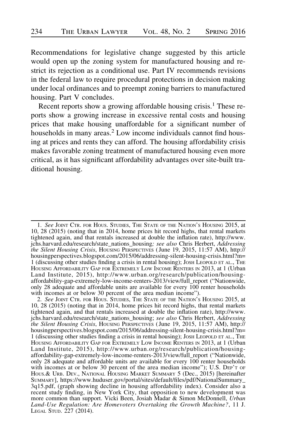Recommendations for legislative change suggested by this article would open up the zoning system for manufactured housing and restrict its rejection as a conditional use. Part IV recommends revisions in the federal law to require procedural protections in decision making under local ordinances and to preempt zoning barriers to manufactured housing. Part V concludes.

Recent reports show a growing affordable housing crisis.<sup>1</sup> These reports show a growing increase in excessive rental costs and housing prices that make housing unaffordable for a significant number of households in many areas.<sup>2</sup> Low income individuals cannot find housing at prices and rents they can afford. The housing affordability crisis makes favorable zoning treatment of manufactured housing even more critical, as it has significant affordability advantages over site-built traditional housing.

<sup>1.</sup> See JOINT CTR. FOR HOUS. STUDIES, THE STATE OF THE NATION'S HOUSING 2015, at 10, 28 (2015) (noting that in 2014, home prices hit record highs, that rental markets tightened again, and that rentals increased at double the inflation rate), http://www. jchs.harvard.edu/research/state\_nations\_housing; see also Chris Herbert, Addressing the Silent Housing Crisis, HOUSING PERSPECTIVES ( June 19, 2015, 11:57 AM), http:// housingperspectives.blogspot.com/2015/06/addressing-silent-housing-crisis.html?m= 1 (discussing other studies finding a crisis in rental housing); JOSH LEOPOLD ET AL., THE HOUSING AFFORDABILITY GAP FOR EXTREMELY LOW INCOME RENTERS IN 2013, at 1 (Urban Land Institute, 2015), http://www.urban.org/research/publication/housingaffordability-gap-extremely-low-income-renters-2013/view/full\_report ("Nationwide, only 28 adequate and affordable units are available for every 100 renter households with incomes at or below 30 percent of the area median income").

<sup>2.</sup> See JOINT CTR. FOR HOUS. STUDIES, THE STATE OF THE NATION'S HOUSING 2015, at 10, 28 (2015) (noting that in 2014, home prices hit record highs, that rental markets tightened again, and that rentals increased at double the inflation rate), http://www. jchs.harvard.edu/research/state\_nations\_housing; see also Chris Herbert, Addressing the Silent Housing Crisis, HOUSING PERSPECTIVES ( June 19, 2015, 11:57 AM), http:// housingperspectives.blogspot.com/2015/06/addressing-silent-housing-crisis.html?m= 1 (discussing other studies finding a crisis in rental housing); JOSH LEOPOLD ET AL., THE HOUSING AFFORDABILITY GAP FOR EXTREMELY LOW INCOME RENTERS IN 2013, at 1 (Urban Land Institute, 2015), http://www.urban.org/research/publication/housingaffordability-gap-extremely-low-income-renters-2013/view/full\_report ("Nationwide, only 28 adequate and affordable units are available for every 100 renter households with incomes at or below 30 percent of the area median income"); U.S. DEP'T OF HOUS.& URB. DEV., NATIONAL HOUSING MARKET SUMMARY 5 (Dec., 2015) [hereinafter SUMMARY], https://www.huduser.gov/portal/sites/default/files/pdf/NationalSummary\_ 3q15.pdf, (graph showing decline in housing affordability index). Consider also a recent study finding, in New York City, that opposition to new development was more common than support. Vicki Been, Josiah Madar & Simon McDonnell, Urban Land-Use Regulation: Are Homevoters Overtaking the Growth Machine?, 11 J. LEGAL STUD. 227 (2014).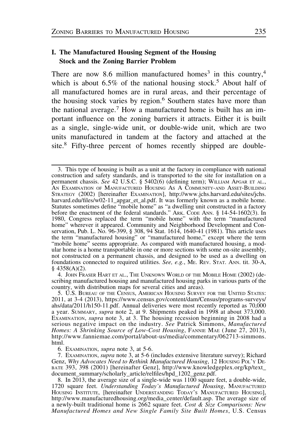## I. The Manufactured Housing Segment of the Housing Stock and the Zoning Barrier Problem

There are now 8.6 million manufactured homes<sup>3</sup> in this country,<sup>4</sup> which is about  $6.5\%$  of the national housing stock.<sup>5</sup> About half of all manufactured homes are in rural areas, and their percentage of the housing stock varies by region.<sup>6</sup> Southern states have more than the national average.<sup>7</sup> How a manufactured home is built has an important influence on the zoning barriers it attracts. Either it is built as a single, single-wide unit, or double-wide unit, which are two units manufactured in tandem at the factory and attached at the site.<sup>8</sup> Fifty-three percent of homes recently shipped are double-

4. JOHN FRASER HART ET AL., THE UNKNOWN WORLD OF THE MOBILE HOME (2002) (describing manufactured housing and manufactured housing parks in various parts of the country, with distribution maps for several cities and areas).

6. EXAMINATION, supra note 3, at 5-6.

<sup>3.</sup> This type of housing is built as a unit at the factory in compliance with national construction and safety standards, and is transported to the site for installation on a permanent chassis. See 42 U.S.C. § 5402(6) (defining term); WILLIAM APGAR ET AL., AN EXAMINATION OF MANUFACTURED HOUSING AS A COMMUNITY-AND ASSET-BUILDING STRATEGY (2002) [hereinafter EXAMINATION], http://www.jchs.harvard.edu/sites/jchs. harvard.edu/files/w02-11\_apgar\_et\_al.pdf. It was formerly known as a mobile home. Statutes sometimes define "mobile home" as "a dwelling unit constructed in a factory before the enactment of the federal standards." ARK. CODE ANN. § 14-54-1602(3). In 1980, Congress replaced the term "mobile home" with the term "manufactured home" wherever it appeared. Community and Neighborhood Development and Conservation, Pub. L. No. 96-399, § 308, 94 Stat. 1614, 1640-41 (1981). This article uses the term "manufactured housing" or "manufactured home," except where the term "mobile home" seems appropriate. As compared with manufactured housing, a modular home is a home transportable in one or more sections with some on-site assembly, not constructed on a permanent chassis, and designed to be used as a dwelling on foundations connected to required utilities. See, e.g., ME. REV. STAT. ANN. tit. 30-A, § 4358(A)(2).

<sup>5.</sup> U.S. BUREAU OF THE CENSUS, AMERICAN HOUSING SURVEY FOR THE UNITED STATES: 2011, at 3-4 (2013), https://www.census.gov/content/dam/Census/programs-surveys/ ahs/data/2011/h150-11.pdf. Annual deliveries were most recently reported as 70,000 a year. SUMMARY, supra note 2, at 9. Shipments peaked in 1998 at about 373,000. EXAMINATION, supra note 3, at 3. The housing recession beginning in 2008 had a serious negative impact on the industry. See Patrick Simmons, Manufactured Homes: A Shrinking Source of Low-Cost Housing, FANNIE MAE (June 27, 2013), http://www.fanniemae.com/portal/about-us/media/commentary/062713-simmons. html.

<sup>7.</sup> EXAMINATION, supra note 3, at 5-6 (includes extensive literature survey); Richard Genz, Why Advocates Need to Rethink Manufactured Housing, 12 Housing Pol'y DE-BATE 393, 398 (2001) [hereinafter Genz], http://www.knowledgeplex.org/kp/text\_ document\_summary/scholarly\_article/relfiles/hpd\_1202\_genz.pdf.

<sup>8.</sup> In 2013, the average size of a single-wide was 1100 square feet, a double-wide, 1720 square feet. Understanding Today's Manufactured Housing, MANUFACTURED HOUSING INSTITUTE, [hereinafter UNDERSTANDING TODAY'S MANUFACTURED HOUSING], http://www.manufacturedhousing.org/media\_center/default.asp. The average size of a newly-built traditional home is 2662 square feet. Cost & Size Comparisons: New Manufactured Homes and New Single Family Site Built Homes, U.S. Census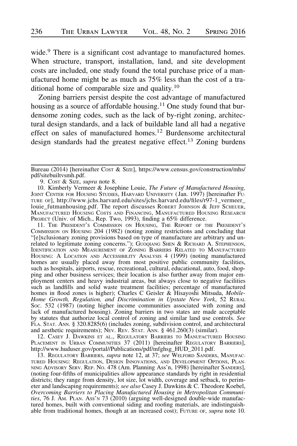wide.<sup>9</sup> There is a significant cost advantage to manufactured homes. When structure, transport, installation, land, and site development costs are included, one study found the total purchase price of a manufactured home might be as much as 75% less than the cost of a traditional home of comparable size and quality.<sup>10</sup>

Zoning barriers persist despite the cost advantage of manufactured housing as a source of affordable housing.<sup>11</sup> One study found that burdensome zoning codes, such as the lack of by-right zoning, architectural design standards, and a lack of buildable land all had a negative effect on sales of manufactured homes.<sup>12</sup> Burdensome architectural design standards had the greatest negative effect.<sup>13</sup> Zoning burdens

9. Cost & Size, supra note 8.

10. Kimberly Vermeer & Josephine Louie, The Future of Manufactured Housing, JOINT CENTER FOR HOUSING STUDIES, HARVARD UNIVERSITY ( Jan. 1997) [hereinafter FU-TURE OF], http://www.jchs.harvard.edu/sites/jchs.harvard.edu/files/r97-1\_vermeer\_ louie\_futmanhousing.pdf. The report discusses ROBERT JOHNSON & JEFF SCHEUER, MANUFACTURED HOUSING COSTS AND FINANCING, MANUFACTURED HOUSING RESEARCH PROJECT (Univ. of Mich., Rep. Two, 1993), finding a 65% difference.

11. THE PRESIDENT'S COMMISSION ON HOUSING, THE REPORT OF THE PRESIDENT'S COMMISSION ON HOUSING 204 (1982) (noting zoning restrictions and concluding that "[e]xclusionary zoning provisions based on type of manufacture are arbitrary and unrelated to legitimate zoning concerns."); GUOQIANG SHEN & RICHARD A. STEPHENSON, IDENTIFICATION AND MEASUREMENT OF ZONING BARRIERS RELATED TO MANUFACTURED HOUSING:ALOCATION AND ACCESSIBILITY ANALYSIS 4 (1999) (noting manufactured homes are usually placed away from most positive public community facilities, such as hospitals, airports, rescue, recreational, cultural, educational, auto, food, shopping and other business services; their location is also further away from major employment centers and heavy industrial areas, but always close to negative facilities such as landfills and solid waste treatment facilities; percentage of manufactured homes in flood zones is higher); Charles C Geisler & Hisayoshi Mitsuda, Mobile-Home Growth, Regulation, and Discrimination in Upstate New York, 52 RURAL SOC. 532 (1987) (noting higher income communities associated with zoning and lack of manufactured housing). Zoning barriers in two states are made acceptable by statutes that authorize local control of zoning and similar land use controls. See FLA. STAT. ANN. § 320.8285(6) (includes zoning, subdivision control, and architectural and aesthetic requirements); NEV. REV. STAT. ANN. § 461.260(3) (similar).

12. CASEY J. DAWKINS ET AL., REGULATORY BARRIERS TO MANUFACTURED HOUSING PLACEMENT IN URBAN COMMUNITIES 37 (2011) [hereinafter REGULATORY BARRIERS], http://www.huduser.gov/portal//Publications/pdf/mfghsg\_HUD\_2011.pdf.

13. REGULATORY BARRIERS, *supra* note 12, at 37; see WELFORD SANDERS, MANUFAC-TURED HOUSING: REGULATION, DESIGN INNOVATIONS, AND DEVELOPMENT OPTIONS, PLAN-NING ADVISORY SERV. REP. NO. 478 (Am. Planning Ass'n, 1998) [hereinafter SANDERS], (noting four-fifths of municipalities allow appearance standards by right in residential districts; they range from density, lot size, lot width, coverage and setback, to perimeter and landscaping requirements); see also Casey J. Dawkins & C. Theodore Koebel, Overcoming Barriers to Placing Manufactured Housing in Metropolitan Communities, 76 J. AM. PLAN. Ass'n 73  $(2010)$  (arguing well-designed double-wide manufactured homes, built with conventional siding and roofing materials, are indistinguishable from traditional homes, though at an increased cost); FUTURE OF, supra note 10.

Bureau (2014) [hereinafter COST & SIZE], https://www.census.gov/construction/mhs/ pdf/sitebuiltvsmh.pdf.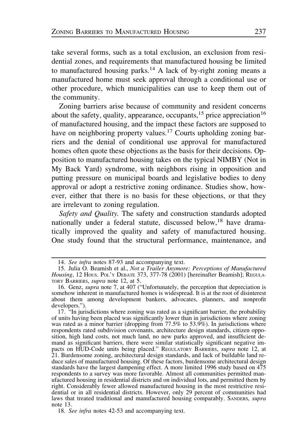take several forms, such as a total exclusion, an exclusion from residential zones, and requirements that manufactured housing be limited to manufactured housing parks.<sup>14</sup> A lack of by-right zoning means a manufactured home must seek approval through a conditional use or other procedure, which municipalities can use to keep them out of the community.

Zoning barriers arise because of community and resident concerns about the safety, quality, appearance, occupants,<sup>15</sup> price appreciation<sup>16</sup> of manufactured housing, and the impact these factors are supposed to have on neighboring property values.<sup>17</sup> Courts upholding zoning barriers and the denial of conditional use approval for manufactured homes often quote these objections as the basis for their decisions. Opposition to manufactured housing takes on the typical NIMBY (Not in My Back Yard) syndrome, with neighbors rising in opposition and putting pressure on municipal boards and legislative bodies to deny approval or adopt a restrictive zoning ordinance. Studies show, however, either that there is no basis for these objections, or that they are irrelevant to zoning regulation.

Safety and Quality. The safety and construction standards adopted nationally under a federal statute, discussed below,<sup>18</sup> have dramatically improved the quality and safety of manufactured housing. One study found that the structural performance, maintenance, and

<sup>14.</sup> See infra notes 87-93 and accompanying text.

<sup>15.</sup> Julia O. Beamish et al., Not a Trailer Anymore: Perceptions of Manufactured Housing, 12 Hous. Pol'y DEBATE 373, 377-78 (2001) [hereinafter Beamish]; REGULA-TORY BARRIERS, *supra* note 12, at 5.

<sup>16.</sup> Genz, supra note 7, at 407 ("Unfortunately, the perception that depreciation is somehow inherent in manufactured homes is widespread. It is at the root of disinterest about them among development bankers, advocates, planners, and nonprofit developers.").

<sup>17. &</sup>lt;sup>"In</sup> jurisdictions where zoning was rated as a significant barrier, the probability of units having been placed was significantly lower than in jurisdictions where zoning was rated as a minor barrier (dropping from 77.5% to 53.9%). In jurisdictions where respondents rated subdivision covenants, architecture design standards, citizen opposition, high land costs, not much land, no new parks approved, and insufficient demand as significant barriers, there were similar statistically significant negative impacts on HUD-Code units being placed." REGULATORY BARRIERS, supra note 12, at 21. Burdensome zoning, architectural design standards, and lack of buildable land reduce sales of manufactured housing. Of these factors, burdensome architectural design standards have the largest dampening effect. A more limited 1996 study based on 475 respondents to a survey was more favorable. Almost all communities permitted manufactured housing in residential districts and on individual lots, and permitted them by right. Considerably fewer allowed manufactured housing in the most restrictive residential or in all residential districts. However, only 29 percent of communities had laws that treated traditional and manufactured housing comparably. SANDERS, *supra* note 13.

<sup>18.</sup> See infra notes 42-53 and accompanying text.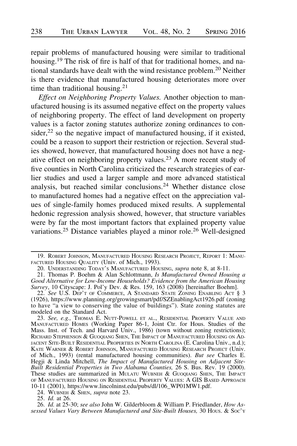repair problems of manufactured housing were similar to traditional housing.<sup>19</sup> The risk of fire is half of that for traditional homes, and national standards have dealt with the wind resistance problem.<sup>20</sup> Neither is there evidence that manufactured housing deteriorates more over time than traditional housing. $21$ 

Effect on Neighboring Property Values. Another objection to manufactured housing is its assumed negative effect on the property values of neighboring property. The effect of land development on property values is a factor zoning statutes authorize zoning ordinances to consider, $2<sup>2</sup>$  so the negative impact of manufactured housing, if it existed, could be a reason to support their restriction or rejection. Several studies showed, however, that manufactured housing does not have a negative effect on neighboring property values.<sup>23</sup> A more recent study of five counties in North Carolina criticized the research strategies of earlier studies and used a larger sample and more advanced statistical analysis, but reached similar conclusions.<sup>24</sup> Whether distance close to manufactured homes had a negative effect on the appreciation values of single-family homes produced mixed results. A supplemental hedonic regression analysis showed, however, that structure variables were by far the most important factors that explained property value variations.<sup>25</sup> Distance variables played a minor role.<sup>26</sup> Well-designed

26. Id. at 25-30; see also John W. Gilderbloom & William P. Friedlander, How Assessed Values Vary Between Manufactured and Site-Built Houses, 30 Hous. & Soc'y

<sup>19.</sup> ROBERT JOHNSON, MANUFACTURED HOUSING RESEARCH PROJECT, REPORT 1: MANU-FACTURED HOUSING QUALITY (Univ. of Mich., 1993).

<sup>20.</sup> UNDERSTANDING TODAY'S MANUFACTURED HOUSING, *supra* note 8, at 8-11.

<sup>21.</sup> Thomas P. Boehm & Alan Schlottmann, Is Manufactured Owned Housing a Good Alternative for Low-Income Households? Evidence from the American Housing Survey, 10 Cityscape: J. Pol'y Dev. & Res. 159, 163 (2008) [hereinafter Boehm].

<sup>22.</sup> See U.S. DEP'T OF COMMERCE, A STANDARD STATE ZONING ENABLING ACT § 3 (1926), https://www.planning.org/growingsmart/pdf/SZEnablingAct1926.pdf (zoning to have "a view to conserving the value of buildings"). State zoning statutes are modeled on the Standard Act.

<sup>23.</sup> See, e.g., Thomas E. Nutt-Powell et al., Residential Property Value and MANUFACTURED HOMES (Working Paper 86-1, Joint Ctr. for Hous. Studies of the Mass. Inst. of Tech. and Harvard Univ., 1986) (town without zoning restrictions); RICHARD STEPHENSON & GUOQIANG SHEN, THE IMPACT OF MANUFACTURED HOUSING ON AD-JACENT SITE-BUILT RESIDENTIAL PROPERTIES IN NORTH CAROLINA (E. Carolina Univ., n.d.); KATE WARNER & ROBERT JOHNSON, MANUFACTURED HOUSING RESEARCH PROJECT (Univ. of Mich., 1993) (rental manufactured housing communities). But see Charles E. Hegji & Linda Mitchell, The Impact of Manufactured Housing on Adjacent Site-Built Residential Properties in Two Alabama Counties, 26 S. Bus. Rev. 19 (2000). These studies are summarized in MULATU WUBNEH & GUOQIANG SHEN, THE IMPACT OF MANUFACTURED HOUSING ON RESIDENTIAL PROPERTY VALUES: A GIS BASED APPROACH 10-11 (2001), https://www.lincolninst.edu/pubs/dl/106\_WP01MW1.pdf.

<sup>24.</sup> WUBNEH  $&$  SHEN, supra note 23.

<sup>25.</sup> Id. at 26.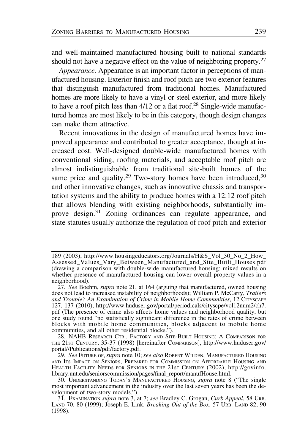and well-maintained manufactured housing built to national standards should not have a negative effect on the value of neighboring property.<sup>27</sup>

Appearance. Appearance is an important factor in perceptions of manufactured housing. Exterior finish and roof pitch are two exterior features that distinguish manufactured from traditional homes. Manufactured homes are more likely to have a vinyl or steel exterior, and more likely to have a roof pitch less than  $4/12$  or a flat roof.<sup>28</sup> Single-wide manufactured homes are most likely to be in this category, though design changes can make them attractive.

Recent innovations in the design of manufactured homes have improved appearance and contributed to greater acceptance, though at increased cost. Well-designed double-wide manufactured homes with conventional siding, roofing materials, and acceptable roof pitch are almost indistinguishable from traditional site-built homes of the same price and quality.<sup>29</sup> Two-story homes have been introduced,<sup>30</sup> and other innovative changes, such as innovative chassis and transportation systems and the ability to produce homes with a 12:12 roof pitch that allows blending with existing neighborhoods, substantially improve design.<sup>31</sup> Zoning ordinances can regulate appearance, and state statutes usually authorize the regulation of roof pitch and exterior

<sup>189 (2003),</sup> http://www.housingeducators.org/Journals/H&S\_Vol\_30\_No\_2\_How\_ Assessed\_Values\_Vary\_Between\_Manufactured\_and\_Site\_Built\_Houses.pdf (drawing a comparison with double-wide manufactured housing; mixed results on whether presence of manufactured housing can lower overall property values in a neighborhood).

 $27.$  See Boehm, supra note 21, at 164 (arguing that manufactured, owned housing does not lead to increased instability of neighborhoods); William P. McCarty, Trailers and Trouble? An Examination of Crime in Mobile Home Communities, 12 CITYSCAPE 127, 137 (2010), http://www.huduser.gov/portal/periodicals/cityscpe/vol12num2/ch7. pdf (The presence of crime also affects home values and neighborhood quality, but one study found "no statistically significant difference in the rates of crime between blocks with mobile home communities, blocks adjacent to mobile home communities, and all other residential blocks.").

<sup>28.</sup> NAHB RESEARCH CTR., FACTORY AND SITE-BUILT HOUSING: A COMPARISON FOR THE 21ST CENTURY, 35-37 (1998) [hereinafter COMPARISON], http://www.huduser.gov/ portal//Publications/pdf/factory.pdf.

<sup>29.</sup> See FUTURE OF, supra note 10; see also ROBERT WILDEN, MANUFACTURED HOUSING AND ITS IMPACT ON SENIORS, PREPARED FOR COMMISSION ON AFFORDABLE HOUSING AND HEALTH FACILITY NEEDS FOR SENIORS IN THE 21ST CENTURY (2002), http://govinfo. library.unt.edu/seniorscommission/pages/final\_report/manufHouse.html.

<sup>30.</sup> UNDERSTANDING TODAY'S MANUFACTURED HOUSING, *supra* note 8 ("The single most important advancement in the industry over the last seven years has been the development of two-story models.").

<sup>31.</sup> EXAMINATION supra note 3, at 7; see Bradley C. Grogan, Curb Appeal, 58 URB. LAND 70, 80 (1999); Joseph E. Link, *Breaking Out of the Box*, 57 URB. LAND 82, 90 (1998).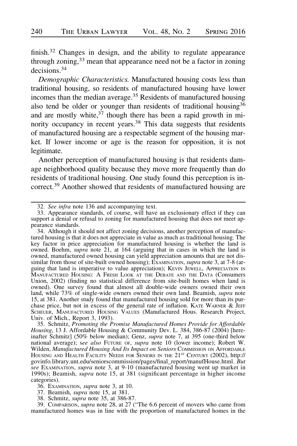finish.<sup>32</sup> Changes in design, and the ability to regulate appearance through zoning,<sup>33</sup> mean that appearance need not be a factor in zoning decisions.<sup>34</sup>

Demographic Characteristics. Manufactured housing costs less than traditional housing, so residents of manufactured housing have lower incomes than the median average.<sup>35</sup> Residents of manufactured housing also tend be older or younger than residents of traditional housing  $36$ and are mostly white,  $37$  though there has been a rapid growth in minority occupancy in recent years.<sup>38</sup> This data suggests that residents of manufactured housing are a respectable segment of the housing market. If lower income or age is the reason for opposition, it is not legitimate.

Another perception of manufactured housing is that residents damage neighborhood quality because they move more frequently than do residents of traditional housing. One study found this perception is incorrect.<sup>39</sup> Another showed that residents of manufactured housing are

36. EXAMINATION, supra note 3, at 10.

37. Beamish, supra note 15, at 381.

38. Schmitz, supra note 35, at 386-87.

39. COMPARISON, supra note 28, at 27 ("The 6.6 percent of movers who came from manufactured homes was in line with the proportion of manufactured homes in the

<sup>32.</sup> See infra note 136 and accompanying text.

<sup>33.</sup> Appearance standards, of course, will have an exclusionary effect if they can support a denial or refusal to zoning for manufactured housing that does not meet appearance standards.

<sup>34.</sup> Although it should not affect zoning decisions, another perception of manufactured housing is that it does not appreciate in value as much as traditional housing. The key factor in price appreciation for manufactured housing is whether the land is owned. Boehm, *supra* note 21, at 164 (arguing that in cases in which the land is owned, manufactured owned housing can yield appreciation amounts that are not dissimilar from those of site-built owned housing);  $\overline{Ex}$ AMINATION, supra note 3, at 7-8 (arguing that land is imperative to value appreciation); KEVIN JEWELL, APPRECIATION IN MANUFACTURED HOUSING: A FRESH LOOK AT THE DEBATE AND THE DATA (CONSUMERS Union, 2002) (finding no statistical difference from site-built homes when land is owned). One survey found that almost all double-wide owners owned their own land, while 73% of single-wide owners owned their own land. Beamish, supra note 15, at 381. Another study found that manufactured housing sold for more than its purchase price, but not in excess of the general rate of inflation. KATE WARNER & JEFF SCHEUER, MANUFACTURED HOUSING VALUES (Manufactured Hous. Research Project, Univ. of Mich., Report 3, 1993).

<sup>35.</sup> Schmitz, Promoting the Promise Manufactured Homes Provide for Affordable Housing, 13 J. Affordable Housing & Community Dev. L. 384, 386-87 (2004) [hereinafter Schmitz] (50% below median); Genz, supra note 7, at 395 (one-third below national average); see also FUTURE OF, supra note 10 (lower income); Robert W. Wilden, Manufactured Housing And Its Impact on Seniors COMMISSION ON AFFORDABLE HOUSING AND HEALTH FACILITY NEEDS FOR SENIORS IN THE 21<sup>st</sup> CENTURY (2002), http://<br>govinfo.library.unt.edu/seniorscommission/pages/final\_report/manufHouse.html. *But* see Examination, supra note 3, at 9-10 (manufactured housing went up market in 1990s); Beamish, *supra* note 15, at 381 (significant percentage in higher income categories).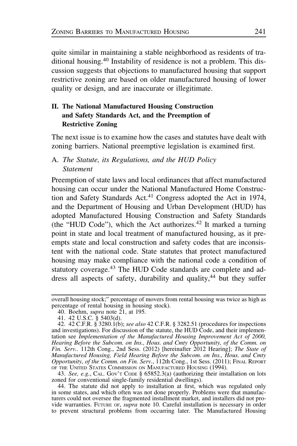quite similar in maintaining a stable neighborhood as residents of traditional housing.<sup>40</sup> Instability of residence is not a problem. This discussion suggests that objections to manufactured housing that support restrictive zoning are based on older manufactured housing of lower quality or design, and are inaccurate or illegitimate.

# II. The National Manufactured Housing Construction and Safety Standards Act, and the Preemption of Restrictive Zoning

The next issue is to examine how the cases and statutes have dealt with zoning barriers. National preemptive legislation is examined first.

# A. The Statute, its Regulations, and the HUD Policy Statement

Preemption of state laws and local ordinances that affect manufactured housing can occur under the National Manufactured Home Construction and Safety Standards Act.<sup>41</sup> Congress adopted the Act in 1974, and the Department of Housing and Urban Development (HUD) has adopted Manufactured Housing Construction and Safety Standards (the "HUD Code"), which the Act authorizes.<sup>42</sup> It marked a turning point in state and local treatment of manufactured housing, as it preempts state and local construction and safety codes that are inconsistent with the national code. State statutes that protect manufactured housing may make compliance with the national code a condition of statutory coverage.<sup>43</sup> The HUD Code standards are complete and address all aspects of safety, durability and quality, $44$  but they suffer

43. See, e.g., CAL. GOV'T CODE § 65852.3(a) (authorizing their installation on lots zoned for conventional single-family residential dwellings).

overall housing stock;" percentage of movers from rental housing was twice as high as percentage of rental housing in housing stock).

<sup>40.</sup> Boehm, *supra* note  $21$ , at 195.

<sup>41. 42</sup> U.S.C. § 5403(d).

<sup>42. 42</sup> C.F.R. § 3280.1(b); see also 42 C.F.R. § 3282.51 (procedures for inspections and investigations). For discussion of the statute, the HUD Code, and their implementation see Implementation of the Manufactured Housing Improvement Act of 2000, Hearing Before the Subcom. on Ins., Hous. and Cmty Opportunity, of the Comm. on Fin. Serv.. 112th Cong., 2nd Sess. (2012) [hereinafter 2012 Hearing]; The State of Manufactured Housing, Field Hearing Before the Subcom. on Ins., Hous. and Cmty Opportunity, of the Comm. on Fin. Serv., 112th Cong., 1st Sess. (2011); FINAL REPORT OF THE UNITED STATES COMMISSION ON MANUFACTURED HOUSING (1994).

<sup>44.</sup> The statute did not apply to installation at first, which was regulated only in some states, and which often was not done properly. Problems were that manufacturers could not oversee the fragmented installment market, and installers did not provide warranties. FUTURE OF, supra note 10. Careful installation is necessary in order to prevent structural problems from occurring later. The Manufactured Housing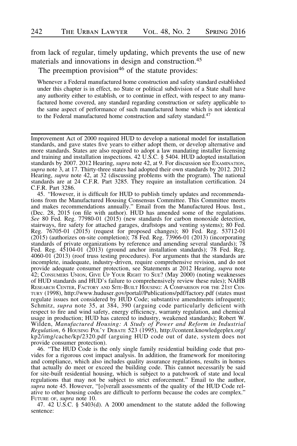from lack of regular, timely updating, which prevents the use of new materials and innovations in design and construction.<sup>45</sup>

The preemption provision<sup>46</sup> of the statute provides:

Whenever a Federal manufactured home construction and safety standard established under this chapter is in effect, no State or political subdivision of a State shall have any authority either to establish, or to continue in effect, with respect to any manufactured home covered, any standard regarding construction or safety applicable to the same aspect of performance of such manufactured home which is not identical to the Federal manufactured home construction and safety standard.<sup>47</sup>

45. "However, it is difficult for HUD to publish timely updates and recommendations from the Manufactured Housing Consensus Committee. This Committee meets and makes recommendations annually." Email from the Manufactured Hous. Inst., (Dec. 28, 2015 (on file with author). HUD has amended some of the regulations. See 80 Fed. Reg. 77980-01 (2015) (new standards for carbon monoxide detection, stairways, fire safety for attached garages, draftstops and venting systems); 80 Fed. Reg. 76705-01 (2015) (request for proposed changes); 80 Fed. Reg. 53712-01 (2015) (authorizes on-site completion); 78 Fed. Reg. 73966-01 (2013) (incorporating standards of private organizations by reference and amending several standards); 78 Fed. Reg. 45104-01 (2013) (ground anchor installation standards); 78 Fed. Reg. 4060-01 (2013) (roof truss testing procedures). For arguments that the standards are incomplete, inadequate, industry-driven, require comprehensive revision, and do not provide adequate consumer protection, see Statements at 2012 Hearing, supra note 42; CONSUMERS UNION, GIVE UP YOUR RIGHT TO SUE? (May 2000) (noting weaknesses of HUD standards and HUD's failure to comprehensively review these rules); NAHB RESEARCH CENTER, FACTORY AND SITE-BUILT HOUSING: A COMPARISON FOR THE 21ST CEN-TURY (1998), http://www.huduser.gov/portal//Publications/pdf/factory.pdf (states must regulate issues not considered by HUD Code; substantive amendments infrequent); Schmitz, supra note 35, at 384, 390 (arguing code particularly deficient with respect to fire and wind safety, energy efficiency, warranty regulation, and chemical usage in production; HUD has catered to industry, weakened standards); Robert W. Wilden, Manufactured Housing: A Study of Power and Reform in Industrial Regulation, 6 HOUSING POL'Y DEBATE 523 (1995), http://content.knowledgeplex.org/ kp2/img/cache/kp/2320.pdf (arguing HUD code out of date, system does not provide consumer protection).

46. "The HUD Code is the only single family residential building code that provides for a rigorous cost impact analysis. In addition, the framework for monitoring and compliance, which also includes quality assurance regulations, results in homes that actually do meet or exceed the building code. This cannot necessarily be said for site-built residential housing, which is subject to a patchwork of state and local regulations that may not be subject to strict enforcement." Email to the author, supra note 45. However, "[o]verall assessments of the quality of the HUD Code relative to other housing codes are difficult to perform because the codes are complex." FUTURE OF, *supra* note 10.

47. 42 U.S.C. § 5403(d). A 2000 amendment to the statute added the following sentence:

Improvement Act of 2000 required HUD to develop a national model for installation standards, and gave states five years to either adopt them, or develop alternative and more standards. States are also required to adopt a law mandating installer licensing and training and installation inspections. 42 U.S.C. § 5404. HUD adopted installation standards by 2007. 2012 Hearing, *supra* note 42, at 9. For discussion see Examination, supra note  $\overline{3}$ , at 17. Thirty-three states had adopted their own standards by 2012. 2012 Hearing, supra note 42, at 32 (discussing problems with the program). The national standards are at 24 C.F.R. Part 3285. They require an installation certification. 24 C.F.R. Part 3286.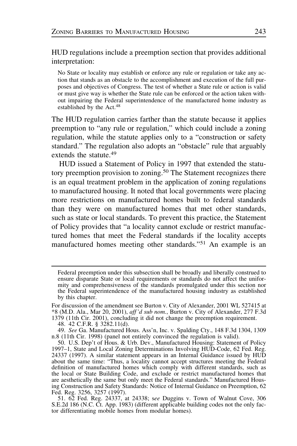HUD regulations include a preemption section that provides additional interpretation:

No State or locality may establish or enforce any rule or regulation or take any action that stands as an obstacle to the accomplishment and execution of the full purposes and objectives of Congress. The test of whether a State rule or action is valid or must give way is whether the State rule can be enforced or the action taken without impairing the Federal superintendence of the manufactured home industry as established by the Act.<sup>48</sup>

The HUD regulation carries farther than the statute because it applies preemption to "any rule or regulation," which could include a zoning regulation, while the statute applies only to a "construction or safety standard." The regulation also adopts an "obstacle" rule that arguably extends the statute.<sup>49</sup>

HUD issued a Statement of Policy in 1997 that extended the statutory preemption provision to zoning.<sup>50</sup> The Statement recognizes there is an equal treatment problem in the application of zoning regulations to manufactured housing. It noted that local governments were placing more restrictions on manufactured homes built to federal standards than they were on manufactured homes that met other standards, such as state or local standards. To prevent this practice, the Statement of Policy provides that "a locality cannot exclude or restrict manufactured homes that meet the Federal standards if the locality accepts manufactured homes meeting other standards."<sup>51</sup> An example is an

Federal preemption under this subsection shall be broadly and liberally construed to ensure disparate State or local requirements or standards do not affect the uniformity and comprehensiveness of the standards promulgated under this section nor the Federal superintendence of the manufactured housing industry as established by this chapter.

For discussion of the amendment see Burton v. City of Alexander, 2001 WL 527415 at \*8 (M.D. Ala., Mar 20, 2001), aff 'd sub nom., Burton v. City of Alexander, 277 F.3d 1379 (11th Cir. 2001), concluding it did not change the preemption requirement.

<sup>48. 42</sup> C.F.R. § 3282.11(d).

<sup>49.</sup> See Ga. Manufactured Hous. Ass'n, Inc. v. Spalding Cty., 148 F.3d 1304, 1309 n.8 (11th Cir. 1998) (panel not entirely convinced the regulation is valid).

<sup>50.</sup> U.S. Dep't of Hous. & Urb. Dev., Manufactured Housing: Statement of Policy 1997–1, State and Local Zoning Determinations Involving HUD-Code, 62 Fed. Reg. 24337 (1997). A similar statement appears in an Internal Guidance issued by HUD about the same time: "Thus, a locality cannot accept structures meeting the Federal definition of manufactured homes which comply with different standards, such as the local or State Building Code, and exclude or restrict manufactured homes that are aesthetically the same but only meet the Federal standards." Manufactured Housing Construction and Safety Standards: Notice of Internal Guidance on Preemption, 62 Fed. Reg. 3256, 3257 (1997).

<sup>51. 62</sup> Fed. Reg. 24337, at 24338; see Duggins v. Town of Walnut Cove, 306 S.E.2d 186 (N.C. Ct. App. 1983) (different applicable building codes not the only factor differentiating mobile homes from modular homes).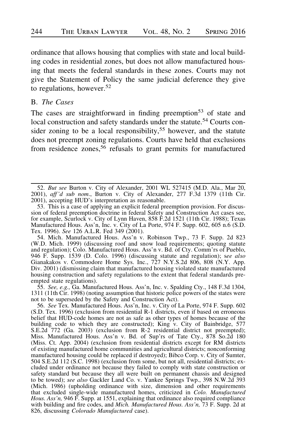ordinance that allows housing that complies with state and local building codes in residential zones, but does not allow manufactured housing that meets the federal standards in these zones. Courts may not give the Statement of Policy the same judicial deference they give to regulations, however.<sup>52</sup>

## B. The Cases

The cases are straightforward in finding preemption<sup>53</sup> of state and local construction and safety standards under the statute.<sup>54</sup> Courts consider zoning to be a local responsibility,<sup>55</sup> however, and the statute does not preempt zoning regulations. Courts have held that exclusions from residence zones,  $56$  refusals to grant permits for manufactured

54. Mich. Manufactured Hous. Ass'n v. Robinson Twp., 73 F. Supp. 2d 823 (W.D. Mich. 1999) (discussing roof and snow load requirements; quoting statute and regulation); Colo. Manufactured Hous. Ass'n v. Bd. of Cty. Comm'rs of Pueblo, 946 F. Supp. 1539 (D. Colo. 1996) (discussing statute and regulation); see also Gianakakos v. Commodore Home Sys. Inc., 727 N.Y.S.2d 806, 808 (N.Y. App. Div. 2001) (dismissing claim that manufactured housing violated state manufactured housing construction and safety regulations to the extent that federal standards preempted state regulations).

55. See, e.g., Ga. Manufactured Hous. Ass'n, Inc. v. Spalding Cty., 148 F.3d 1304, 1311 (11th Cir. 1998) (noting assumption that historic police powers of the states were not to be superseded by the Safety and Construction Act).

56. See Tex. Manufactured Hous. Ass'n, Inc. v. City of La Porte, 974 F. Supp. 602 (S.D. Tex. 1996) (exclusion from residential R-1 districts, even if based on erroneous belief that HUD-code homes are not as safe as other types of homes because of the building code to which they are constructed); King v. City of Bainbridge, 577 S.E.2d 772 (Ga. 2003) (exclusion from R-2 residential district not preempted); Miss. Manufactured Hous. Ass'n v. Bd. of Sup'rs of Tate Cty., 878 So.2d 180 (Miss. Ct. App. 2004) (exclusion from residential districts except for RM districts of existing manufactured home communities and agricultural districts; nonconforming manufactured housing could be replaced if destroyed); Bibco Corp. v. City of Sumter, 504 S.E.2d 112 (S.C. 1998) (exclusion from some, but not all, residential districts; excluded under ordinance not because they failed to comply with state construction or safety standard but because they all were built on permanent chassis and designed to be towed); see also Gackler Land Co. v. Yankee Springs Twp., 398 N.W.2d 393 (Mich. 1986) (upholding ordinance with size, dimension and other requirements that excluded single-wide manufactured homes, criticized in Colo. Manufactured Hous. Ass'n, 946 F. Supp. at 1551, explaining that ordinance also required compliance with building and fire codes, and Mich. Manufactured Hous. Ass'n, 73 F. Supp. 2d at 826, discussing Colorado Manufactured case).

<sup>52.</sup> But see Burton v. City of Alexander, 2001 WL 527415 (M.D. Ala., Mar 20, 2001), aff 'd sub nom., Burton v. City of Alexander, 277 F.3d 1379 (11th Cir. 2001), accepting HUD's interpretation as reasonable.

<sup>53.</sup> This is a case of applying an explicit federal preemption provision. For discussion of federal preemption doctrine in federal Safety and Construction Act cases see, for example, Scurlock v. City of Lynn Haven, 858 F.2d 1521 (11th Cir. 1988); Texas Manufactured Hous. Ass'n, Inc. v. City of La Porte, 974 F. Supp. 602, 605 n.6 (S.D. Tex. 1996). See 126 A.L.R. Fed 349 (2001).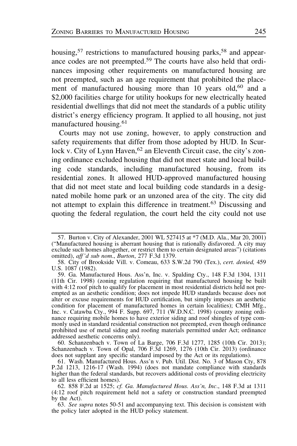housing,  $57$  restrictions to manufactured housing parks,  $58$  and appearance codes are not preempted.<sup>59</sup> The courts have also held that ordinances imposing other requirements on manufactured housing are not preempted, such as an age requirement that prohibited the placement of manufactured housing more than 10 years old,<sup>60</sup> and a \$2,000 facilities charge for utility hookups for new electrically heated residential dwellings that did not meet the standards of a public utility district's energy efficiency program. It applied to all housing, not just manufactured housing.<sup>61</sup>

Courts may not use zoning, however, to apply construction and safety requirements that differ from those adopted by HUD. In Scurlock v. City of Lynn Haven,<sup>62</sup> an Eleventh Circuit case, the city's zoning ordinance excluded housing that did not meet state and local building code standards, including manufactured housing, from its residential zones. It allowed HUD-approved manufactured housing that did not meet state and local building code standards in a designated mobile home park or an unzoned area of the city. The city did not attempt to explain this difference in treatment.<sup>63</sup> Discussing and quoting the federal regulation, the court held the city could not use

60. Schanzenbach v. Town of La Barge, 706 F.3d 1277, 1285 (10th Cir. 2013); Schanzenbach v. Town of Opal, 706 F.3d 1269, 1276 (10th Cir. 2013) (ordinance does not supplant any specific standard imposed by the Act or its regulations).

<sup>57.</sup> Burton v. City of Alexander, 2001 WL 527415 at \*7 (M.D. Ala., Mar 20, 2001) ("Manufactured housing is aberrant housing that is rationally disfavored. A city may exclude such homes altogether, or restrict them to certain designated areas") (citations omitted), aff'd sub nom., Burton, 277 F.3d 1379.

<sup>58.</sup> City of Brookside Vill. v. Comeau, 633 S.W.2d 790 (Tex.), cert. denied, 459 U.S. 1087 (1982).

<sup>59.</sup> Ga. Manufactured Hous. Ass'n, Inc. v. Spalding Cty., 148 F.3d 1304, 1311 (11th Cir. 1998) (zoning regulation requiring that manufactured housing be built with 4:12 roof pitch to qualify for placement in most residential districts held not preempted as an aesthetic condition; does not impede HUD standards because does not alter or excuse requirements for HUD certification, but simply imposes an aesthetic condition for placement of manufactured homes in certain localities); CMH Mfg., Inc. v. Catawba Cty., 994 F. Supp. 697, 711 (W.D.N.C. 1998) (county zoning ordinance requiring mobile homes to have exterior siding and roof shingles of type commonly used in standard residential construction not preempted, even though ordinance prohibited use of metal siding and roofing materials permitted under Act; ordinance addressed aesthetic concerns only).

<sup>61.</sup> Wash. Manufactured Hous. Ass'n v. Pub. Util. Dist. No. 3 of Mason Cty, 878 P.2d 1213, 1216-17 (Wash. 1994) (does not mandate compliance with standards higher than the federal standards, but recovers additional costs of providing electricity to all less efficient homes).

<sup>62. 858</sup> F.2d at 1525; cf. Ga. Manufactured Hous. Ass'n, Inc., 148 F.3d at 1311 (4:12 roof pitch requirement held not a safety or construction standard preempted by the Act).

<sup>63.</sup> See supra notes 50-51 and accompanying text. This decision is consistent with the policy later adopted in the HUD policy statement.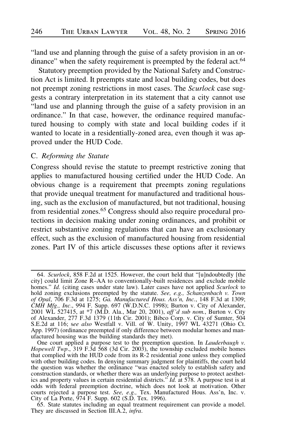"land use and planning through the guise of a safety provision in an ordinance" when the safety requirement is preempted by the federal act.<sup>64</sup>

Statutory preemption provided by the National Safety and Construction Act is limited. It preempts state and local building codes, but does not preempt zoning restrictions in most cases. The Scurlock case suggests a contrary interpretation in its statement that a city cannot use "land use and planning through the guise of a safety provision in an ordinance." In that case, however, the ordinance required manufactured housing to comply with state and local building codes if it wanted to locate in a residentially-zoned area, even though it was approved under the HUD Code.

# C. Reforming the Statute

Congress should revise the statute to preempt restrictive zoning that applies to manufactured housing certified under the HUD Code. An obvious change is a requirement that preempts zoning regulations that provide unequal treatment for manufactured and traditional housing, such as the exclusion of manufactured, but not traditional, housing from residential zones.<sup>65</sup> Congress should also require procedural protections in decision making under zoning ordinances, and prohibit or restrict substantive zoning regulations that can have an exclusionary effect, such as the exclusion of manufactured housing from residential zones. Part IV of this article discusses these options after it reviews

65. State statutes including an equal treatment requirement can provide a model. They are discussed in Section III.A.2, infra.

<sup>64.</sup> Scurlock, 858 F.2d at 1525. However, the court held that "[u]ndoubtedly [the city] could limit Zone R–AA to conventionally-built residences and exclude mobile homes." Id. (citing cases under state law). Later cases have not applied Scurlock to hold zoning exclusions preempted by the statute. See, e.g., Schanzenbach v. Town of Opal,  $706$  F.3d at 1275; Ga. Manufactured Hous. Ass<sup> $\gamma$ </sup>n, Inc., 148 F.3d at 1309; CMH Mfg., Inc., 994 F. Supp. 697 (W.D.N.C. 1998); Burton v. City of Alexander, 2001 WL 527415, at \*7 (M.D. Ala., Mar 20, 2001), *aff'd sub nom.*, Burton v. City of Alexander, 277 F.3d 1379 (11th Cir. 2001); Bibco Corp. v. City of Sumter, 504 S.E.2d at 116; see also Westfall v. Vill. of W. Unity, 1997 WL 43271 (Ohio Ct. App. 1997) (ordinance preempted if only difference between modular homes and manufactured housing was the building standards they met).

One court applied a purpose test to the preemption question. In Lauderbaugh v. Hopewell Twp., 319 F.3d  $\overline{568}$  (3d Cir. 2003), the township excluded mobile homes that complied with the HUD code from its R-2 residential zone unless they complied with other building codes. In denying summary judgment for plaintiffs, the court held the question was whether the ordinance "was enacted solely to establish safety and construction standards, or whether there was an underlying purpose to protect aesthetics and property values in certain residential districts."  $Id$  at 578. A purpose test is at odds with federal preemption doctrine, which does not look at motivation. Other courts rejected a purpose test. See, e.g., Tex. Manufactured Hous. Ass'n, Inc. v. City of La Porte, 974 F. Supp. 602 (S.D. Tex. 1996).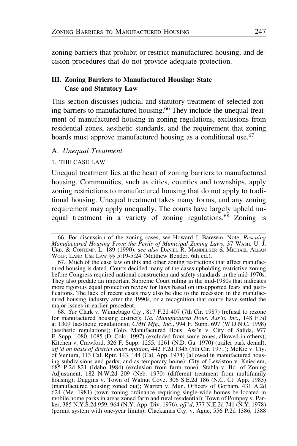zoning barriers that prohibit or restrict manufactured housing, and decision procedures that do not provide adequate protection.

# III. Zoning Barriers to Manufactured Housing: State Case and Statutory Law

This section discusses judicial and statutory treatment of selected zoning barriers to manufactured housing.66 They include the unequal treatment of manufactured housing in zoning regulations, exclusions from residential zones, aesthetic standards, and the requirement that zoning boards must approve manufactured housing as a conditional use.<sup>67</sup>

# A. Unequal Treatment

#### 1. THE CASE LAW

Unequal treatment lies at the heart of zoning barriers to manufactured housing. Communities, such as cities, counties and townships, apply zoning restrictions to manufactured housing that do not apply to traditional housing. Unequal treatment takes many forms, and any zoning requirement may apply unequally. The courts have largely upheld unequal treatment in a variety of zoning regulations.<sup>68</sup> Zoning is

<sup>66.</sup> For discussion of the zoning cases, see Howard J. Barewin, Note, Rescuing Manufactured Housing From the Perils of Municipal Zoning Laws, 37 WASH. U. J. URB. & CONTEMP. L. 189 (1990); see also DANIEL R. MANDELKER & MICHAEL ALLAN WOLF, LAND USE LAW §§ 5:19-5:24 (Matthew Bender, 6th ed.).

<sup>67.</sup> Much of the case law on this and other zoning restrictions that affect manufactured housing is dated. Courts decided many of the cases upholding restrictive zoning before Congress required national construction and safety standards in the mid-1970s. They also predate an important Supreme Court ruling in the mid-1980s that indicates more rigorous equal protection review for laws based on unsupported fears and justifications. The lack of recent cases may also be due to the recession in the manufactured housing industry after the 1990s, or a recognition that courts have settled the major issues in earlier precedent.

<sup>68.</sup> See Clark v. Winnebago Cty., 817 F.2d 407 (7th Cir. 1987) (refusal to rezone for manufactured housing district); Ga. Manufactured Hous. Ass'n, Inc., 148 F.3d at 1309 (aesthetic regulations); CMH Mfg., Inc., 994 F. Supp. 697 (W.D.N.C. 1998) (aesthetic regulations); Colo. Manufactured Hous. Ass'n v. City of Salida, 977 F. Supp. 1080, 1085 (D. Colo. 1997) (excluded from some zones, allowed in others); Kitchen v. Crawford, 326 F. Supp. 1255, 1261 (N.D. Ga. 1970) (trailer park denial), aff 'd on basis of district court opinion, 442 F.2d 1345 (5th Cir. 1971); McKie v. Cty. of Ventura, 113 Cal. Rptr. 143, 144 (Cal. App. 1974) (allowed in manufactured housing subdivisions and parks, and as temporary home); City of Lewiston v. Knieriem, 685 P.2d 821 (Idaho 1984) (exclusion from farm zone); Stahla v. Bd. of Zoning Adjustment, 182 N.W.2d 209 (Neb. 1970) (different treatment from multifamily housing); Duggins v. Town of Walnut Cove, 306 S.E.2d 186 (N.C. Ct. App. 1983) (manufactured housing zoned out); Warren v. Mun. Officers of Gorham, 431 A.2d 624 (Me. 1981) (town zoning ordinance requiring single-wide homes be located in mobile home parks in areas zoned farm and rural residential); Town of Pompey v. Parker, 385 N.Y.S.2d 959, 964 (N.Y. App. Div. 1976), *aff'd*, 377 N.E.2d 741 (N.Y. 1978) (permit system with one-year limits); Clackamas Cty. v. Ague, 556 P.2d 1386, 1388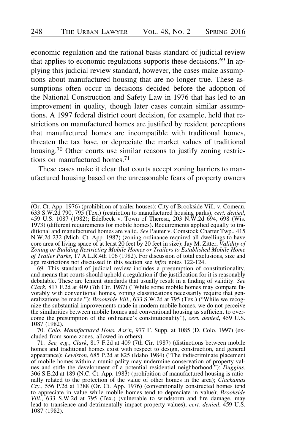economic regulation and the rational basis standard of judicial review that applies to economic regulations supports these decisions.<sup>69</sup> In applying this judicial review standard, however, the cases make assumptions about manufactured housing that are no longer true. These assumptions often occur in decisions decided before the adoption of the National Construction and Safety Law in 1976 that has led to an improvement in quality, though later cases contain similar assumptions. A 1997 federal district court decision, for example, held that restrictions on manufactured homes are justified by resident perceptions that manufactured homes are incompatible with traditional homes, threaten the tax base, or depreciate the market values of traditional housing.<sup>70</sup> Other courts use similar reasons to justify zoning restrictions on manufactured homes.71

These cases make it clear that courts accept zoning barriers to manufactured housing based on the unreasonable fears of property owners

70. Colo. Manufactured Hous. Ass'n, 977 F. Supp. at 1085 (D. Colo. 1997) (excluded from some zones, allowed in others).

<sup>(</sup>Or. Ct. App. 1976) (prohibition of trailer houses); City of Brookside Vill. v. Comeau, 633 S.W.2d 790, 795 (Tex.) (restriction to manufactured housing parks), *cert. denied*, 459 U.S. 1087 (1982); Edelbeck v. Town of Theresa, 203 N.W.2d 694, 698 (Wis. 1973) (different requirements for mobile homes). Requirements applied equally to traditional and manufactured homes are valid. See Pauter v. Comstock Charter Twp., 415 N.W.2d 232 (Mich. Ct. App. 1987) (zoning ordinance required all dwellings to have core area of living space of at least 20 feet by 20 feet in size); Jay M. Zitter, Validity of Zoning or Building Restricting Mobile Homes or Trailers to Established Mobile Home of Trailer Parks, 17 A.L.R.4th 106 (1982). For discussion of total exclusions, size and age restrictions not discussed in this section see infra notes 122-124.

<sup>69.</sup> This standard of judicial review includes a presumption of constitutionality, and means that courts should uphold a regulation if the justification for it is reasonably debatable. These are lenient standards that usually result in a finding of validity. See Clark, 817 F.2d at 409 (7th Cir. 1987) ("While some mobile homes may compare favorably with conventional homes, zoning classifications necessarily require that generalizations be made."); *Brookside Vill.*, 633 S.W.2d at 795 (Tex.) ("While we recognize the substantial improvements made in modern mobile homes, we do not perceive the similarities between mobile homes and conventional housing as sufficient to overcome the presumption of the ordinance's constitutionality"), cert. denied, 459 U.S. 1087 (1982).

<sup>71.</sup> See, e.g., Clark, 817 F.2d at 409 (7th Cir. 1987) (distinctions between mobile homes and traditional homes exist with respect to design, construction, and general appearance); Lewiston, 685 P.2d at 825 (Idaho 1984) ("The indiscriminate placement of mobile homes within a municipality may undermine conservation of property values and stifle the development of a potential residential neighborhood."); Duggins, 306 S.E.2d at 189 (N.C. Ct. App. 1983) (prohibition of manufactured housing is rationally related to the protection of the value of other homes in the area); *Clackamas* Cty., 556 P.2d at 1388 (Or. Ct. App. 1976) (conventionally constructed homes tend to appreciate in value while mobile homes tend to depreciate in value); *Brookside* Vill., 633 S.W.2d at 795 (Tex.) (vulnerable to windstorm and fire damage, may lead to transience and detrimentally impact property values), cert. denied, 459 U.S. 1087 (1982).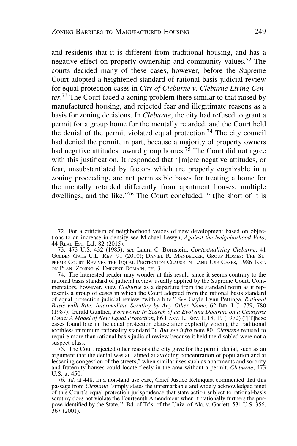and residents that it is different from traditional housing, and has a negative effect on property ownership and community values.<sup>72</sup> The courts decided many of these cases, however, before the Supreme Court adopted a heightened standard of rational basis judicial review for equal protection cases in City of Cleburne v. Cleburne Living Center.<sup>73</sup> The Court faced a zoning problem there similar to that raised by manufactured housing, and rejected fear and illegitimate reasons as a basis for zoning decisions. In Cleburne, the city had refused to grant a permit for a group home for the mentally retarded, and the Court held the denial of the permit violated equal protection.<sup>74</sup> The city council had denied the permit, in part, because a majority of property owners had negative attitudes toward group homes.<sup>75</sup> The Court did not agree with this justification. It responded that "[m]ere negative attitudes, or fear, unsubstantiated by factors which are properly cognizable in a zoning proceeding, are not permissible bases for treating a home for the mentally retarded differently from apartment houses, multiple dwellings, and the like."<sup>76</sup> The Court concluded, "[t]he short of it is

<sup>72.</sup> For a criticism of neighborhood vetoes of new development based on objections to an increase in density see Michael Lewyn, Against the Neighborhood Veto, 44 REAL EST. L.J. 82 (2015).

<sup>73. 473</sup> U.S. 432 (1985); see Laura C. Bornstein, Contextualizing Cleburne, 41 GOLDEN GATE U.L. REV. 91 (2010); DANIEL R. MANDELKER, GROUP HOMES: THE SU-PREME COURT REVIVES THE EQUAL PROTECTION CLAUSE IN LAND USE CASES, 1986 INST. ON PLAN. ZONING & EMINENT DOMAIN, CH. 3.

<sup>74.</sup> The interested reader may wonder at this result, since it seems contrary to the rational basis standard of judicial review usually applied by the Supreme Court. Commentators, however, view *Cleburne* as a departure from the standard norm as it represents a group of cases in which the Court adopted from the rational basis standard of equal protection judicial review "with a bite." See Gayle Lynn Pettinga, Rational Basis with Bite: Intermediate Scrutiny by Any Other Name, 62 IND. L.J. 779, 780 (1987); Gerald Gunther, Foreword: In Search of an Evolving Doctrine on a Changing Court: A Model of New Equal Protection, 86 HARV. L. REV. 1, 18, 19 (1972) ("[T]hese cases found bite in the equal protection clause after explicitly voicing the traditional toothless minimum rationality standard."). But see infra note 80. Cleburne refused to require more than rational basis judicial review because it held the disabled were not a suspect class.

<sup>75.</sup> The Court rejected other reasons the city gave for the permit denial, such as an argument that the denial was at "aimed at avoiding concentration of population and at lessening congestion of the streets," when similar uses such as apartments and sorority and fraternity houses could locate freely in the area without a permit. Cleburne, 473 U.S. at 450.

<sup>76.</sup> Id. at 448. In a non-land use case, Chief Justice Rehnquist commented that this passage from *Cleburne* "simply states the unremarkable and widely acknowledged tenet of this Court's equal protection jurisprudence that state action subject to rational-basis scrutiny does not violate the Fourteenth Amendment when it 'rationally furthers the purpose identified by the State.'" Bd. of Tr's. of the Univ. of Ala. v. Garrett, 531 U.S. 356, 367 (2001).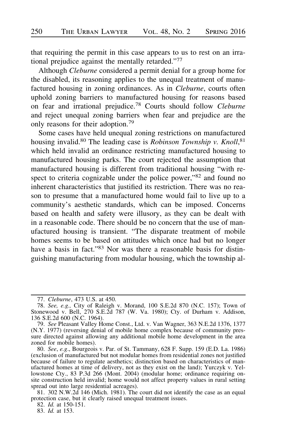that requiring the permit in this case appears to us to rest on an irrational prejudice against the mentally retarded."<sup>77</sup>

Although Cleburne considered a permit denial for a group home for the disabled, its reasoning applies to the unequal treatment of manufactured housing in zoning ordinances. As in Cleburne, courts often uphold zoning barriers to manufactured housing for reasons based on fear and irrational prejudice.<sup>78</sup> Courts should follow Cleburne and reject unequal zoning barriers when fear and prejudice are the only reasons for their adoption.<sup>79</sup>

Some cases have held unequal zoning restrictions on manufactured housing invalid.<sup>80</sup> The leading case is *Robinson Township v. Knoll*,<sup>81</sup> which held invalid an ordinance restricting manufactured housing to manufactured housing parks. The court rejected the assumption that manufactured housing is different from traditional housing "with respect to criteria cognizable under the police power,"<sup>82</sup> and found no inherent characteristics that justified its restriction. There was no reason to presume that a manufactured home would fail to live up to a community's aesthetic standards, which can be imposed. Concerns based on health and safety were illusory, as they can be dealt with in a reasonable code. There should be no concern that the use of manufactured housing is transient. "The disparate treatment of mobile homes seems to be based on attitudes which once had but no longer have a basis in fact."<sup>83</sup> Nor was there a reasonable basis for distinguishing manufacturing from modular housing, which the township al-

82. Id. at 150-151.

83. Id. at 153.

<sup>77.</sup> Cleburne, 473 U.S. at 450.

<sup>78.</sup> See, e.g., City of Raleigh v. Morand, 100 S.E.2d 870 (N.C. 157); Town of Stonewood v. Bell, 270 S.E.2d 787 (W. Va. 1980); Cty. of Durham v. Addison, 136 S.E.2d 600 (N.C. 1964).

<sup>79.</sup> See Pleasant Valley Home Const., Ltd. v. Van Wagner, 363 N.E.2d 1376, 1377 (N.Y. 1977) (reversing denial of mobile home complex because of community pressure directed against allowing any additional mobile home development in the area zoned for mobile homes).

<sup>80.</sup> See, e.g., Bourgeois v. Par. of St. Tammany, 628 F. Supp. 159 (E.D. La. 1986) (exclusion of manufactured but not modular homes from residential zones not justified because of failure to regulate aesthetics; distinction based on characteristics of manufactured homes at time of delivery, not as they exist on the land); Yurczyk v. Yellowstone Cty., 83 P.3d 266 (Mont. 2004) (modular home; ordinance requiring onsite construction held invalid; home would not affect property values in rural setting spread out into large residential acreages).

<sup>81. 302</sup> N.W.2d 146 (Mich. 1981). The court did not identify the case as an equal protection case, but it clearly raised unequal treatment issues.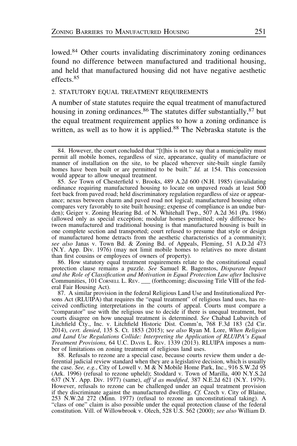lowed.<sup>84</sup> Other courts invalidating discriminatory zoning ordinances found no difference between manufactured and traditional housing, and held that manufactured housing did not have negative aesthetic effects.<sup>85</sup>

#### 2. STATUTORY EQUAL TREATMENT REQUIREMENTS

A number of state statutes require the equal treatment of manufactured housing in zoning ordinances.<sup>86</sup> The statutes differ substantially,  $87$  but the equal treatment requirement applies to how a zoning ordinance is written, as well as to how it is applied.<sup>88</sup> The Nebraska statute is the

85. See Town of Chesterfield v. Brooks, 489 A.2d 600 (N.H. 1985) (invalidating ordinance requiring manufactured housing to locate on unpaved roads at least 500 feet back from paved road; held discriminatory regulation regardless of size or appearance; nexus between charm and paved road not logical; manufactured housing often compares very favorably to site built housing; expense of compliance is an undue burden); Geiger v. Zoning Hearing Bd. of N. Whitehall Twp., 507 A.2d 361 (Pa. 1986) (allowed only as special exception; modular homes permitted; only difference between manufactured and traditional housing is that manufactured housing is built in one complete section and transported; court refused to presume that style or design of manufactured home detracts from the aesthetic characteristics of a community); see also Janas v. Town Bd. & Zoning Bd. of Appeals, Fleming, 51 A.D.2d 473 (N.Y. App. Div. 1976) (may not limit mobile homes to relatives no more distant than first cousins or employees of owners of property).

86. How statutory equal treatment requirements relate to the constitutional equal protection clause remains a puzzle. See Samuel R. Bagenstos, Disparate Impact and the Role of Classification and Motivation in Equal Protection Law after Inclusive Communities, 101 CORNELL L. REV. \_\_\_ (forthcoming; discussing Title VIII of the federal Fair Housing Act).

87. A similar provision in the federal Religious Land Use and Institutionalized Persons Act (RLUIPA) that requires the "equal treatment" of religious land uses, has received conflicting interpretations in the courts of appeal. Courts must compare a "comparator" use with the religious use to decide if there is unequal treatment, but courts disagree on how unequal treatment is determined. See Chabad Lubavitch of Litchfield Cty., Inc. v. Litchfield Historic Dist. Comm'n, 768 F.3d 183 (2d Cir. 2014), cert. denied, 135 S. Ct. 1853 (2015); see also Ryan M. Lore, When Religion and Land Use Regulations Collide: Interpreting the Application of RLUIPA's Equal Treatment Provisions, 64 U.C. DAVIS L. REV. 1339 (2013). RLUIPA imposes a number of limitations on zoning treatment of religious land uses.

88. Refusals to rezone are a special case, because courts review them under a deferential judicial review standard when they are a legislative decision, which is usually the case. See, e.g., City of Lowell v. M & N Mobile Home Park, Inc., 916 S.W.2d 95 (Ark. 1996) (refusal to rezone upheld); Stoddard v. Town of Marilla, 400 N.Y.S.2d 637 (N.Y. App. Div. 1977) (same), aff'd as modified, 387 N.E.2d 621 (N.Y. 1979). However, refusals to rezone can be challenged under an equal treatment provision if they discriminate against the manufactured dwelling. Cf. Czech v. City of Blaine, 253 N.W.2d 272 (Minn. 1977) (refusal to rezone an unconstitutional taking). A "class of one" claim is also possible under the equal protection clause of the federal constitution. Vill. of Willowbrook v. Olech, 528 U.S. 562 (2000); see also William D.

<sup>84.</sup> However, the court concluded that "[t]his is not to say that a municipality must permit all mobile homes, regardless of size, appearance, quality of manufacture or manner of installation on the site, to be placed wherever site-built single family homes have been built or are permitted to be built." Id. at 154. This concession would appear to allow unequal treatment.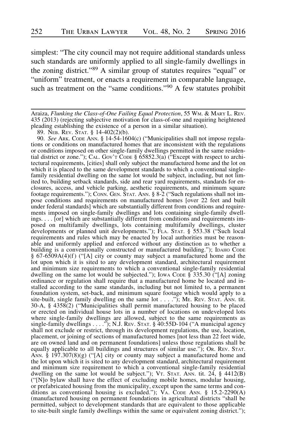simplest: "The city council may not require additional standards unless such standards are uniformly applied to all single-family dwellings in the zoning district."<sup>89</sup> A similar group of statutes requires "equal" or "uniform" treatment, or enacts a requirement in comparable language, such as treatment on the "same conditions."<sup>90</sup> A few statutes prohibit

Araiza, Flunking the Class-of-One Failing Equal Protection, 55 Wm. & MARY L. REV.<br>435 (2013) (rejecting subjective motivation for class-of-one and requiring heightened pleading establishing the existence of a person in a similar situation).

89. NEB. REV. STAT. § 14-402(2)(b).

90. See ARK. CODE ANN. § 14-54-1604(c) ("Municipalities shall not impose regulations or conditions on manufactured homes that are inconsistent with the regulations or conditions imposed on other single-family dwellings permitted in the same residential district or zone."); CAL. GOV'T CODE  $\S$  65852.3(a) ("Except with respect to architectural requirements, [cities] shall only subject the manufactured home and the lot on which it is placed to the same development standards to which a conventional singlefamily residential dwelling on the same lot would be subject, including, but not limited to, building setback standards, side and rear yard requirements, standards for enclosures, access, and vehicle parking, aesthetic requirements, and minimum square footage requirements."); CONN. GEN. STAT. ANN. § 8-2 ("Such regulations shall not impose conditions and requirements on manufactured homes [over 22 feet and built under federal standards] which are substantially different from conditions and requirements imposed on single-family dwellings and lots containing single-family dwellings. . . . [or] which are substantially different from conditions and requirements imposed on multifamily dwellings, lots containing multifamily dwellings, cluster developments or planned unit developments."); FLA. STAT. § 553.38 ("Such local requirements and rules which may be enacted by local authorities must be reasonable and uniformly applied and enforced without any distinction as to whether a building is a conventionally constructed or manufactured building."); І́DАНО СОDЕ § 67-6509A(4)(f ) ("[A] city or county may subject a manufactured home and the lot upon which it is sited to any development standard, architectural requirement and minimum size requirements to which a conventional single-family residential dwelling on the same lot would be subjected."); IOWA CODE § 335.30 ("[A] zoning ordinance or regulation shall require that a manufactured home be located and installed according to the same standards, including but not limited to, a permanent foundation system, set-back, and minimum square footage which would apply to a site-built, single family dwelling on the same lot  $\dots$ . ...,  $\overline{C}$ , ME. REV. STAT. ANN. tit. 30-A, § 4358(2) ("Municipalities shall permit manufactured housing to be placed or erected on individual house lots in a number of locations on undeveloped lots where single-family dwellings are allowed, subject to the same requirements as single-family dwellings . . . ."); N.J. REV. STAT. § 40:55D-104 ("A municipal agency shall not exclude or restrict, through its development regulations, the use, location, placement, or joining of sections of manufactured homes [not less than 22 feet wide, are on owned land and on permanent foundations] unless those regulations shall be equally applicable to all buildings and structures of similar use."); OR. REV. STAT. ANN. § 197.307(8)(g) ("[A] city or county may subject a manufactured home and the lot upon which it is sited to any development standard, architectural requirement and minimum size requirement to which a conventional single-family residential dwelling on the same lot would be subject."); VT. STAT. ANN. tit. 24, § 4412(B) ("[N]o bylaw shall have the effect of excluding mobile homes, modular housing, or prefabricated housing from the municipality, except upon the same terms and conditions as conventional housing is excluded."); VA. CODE ANN. § 15.2-2290(A) (manufactured housing on permanent foundations in agricultural districts "shall be permitted, subject to development standards that are equivalent to those applicable to site-built single family dwellings within the same or equivalent zoning district.");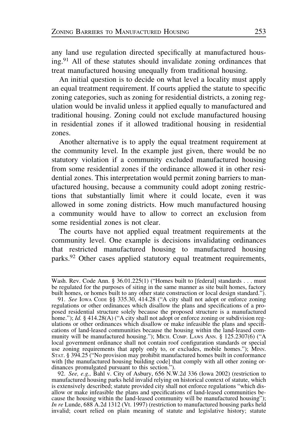any land use regulation directed specifically at manufactured housing.91 All of these statutes should invalidate zoning ordinances that treat manufactured housing unequally from traditional housing.

An initial question is to decide on what level a locality must apply an equal treatment requirement. If courts applied the statute to specific zoning categories, such as zoning for residential districts, a zoning regulation would be invalid unless it applied equally to manufactured and traditional housing. Zoning could not exclude manufactured housing in residential zones if it allowed traditional housing in residential zones.

Another alternative is to apply the equal treatment requirement at the community level. In the example just given, there would be no statutory violation if a community excluded manufactured housing from some residential zones if the ordinance allowed it in other residential zones. This interpretation would permit zoning barriers to manufactured housing, because a community could adopt zoning restrictions that substantially limit where it could locate, even it was allowed in some zoning districts. How much manufactured housing a community would have to allow to correct an exclusion from some residential zones is not clear.

The courts have not applied equal treatment requirements at the community level. One example is decisions invalidating ordinances that restricted manufactured housing to manufactured housing parks.<sup>92</sup> Other cases applied statutory equal treatment requirements,

Wash. Rev. Code Ann. § 36.01.225(1) ("Homes built to [federal] standards . . . must be regulated for the purposes of siting in the same manner as site built homes, factory built homes, or homes built to any other state construction or local design standard.").

<sup>91.</sup> See IOWA CODE §§ 335.30, 414.28 ("A city shall not adopt or enforce zoning regulations or other ordinances which disallow the plans and specifications of a proposed residential structure solely because the proposed structure is a manufactured home."); Id. § 414.28(A) ("A city shall not adopt or enforce zoning or subdivision regulations or other ordinances which disallow or make infeasible the plans and specifications of land-leased communities because the housing within the land-leased community will be manufactured housing."); MICH. COMP. LAWS ANN. § 125.2307(6) ("A local government ordinance shall not contain roof configuration standards or special use zoning requirements that apply only to, or excludes, mobile homes."); MINN. STAT. § 394.25 ("No provision may prohibit manufactured homes built in conformance with [the manufactured housing building code] that comply with all other zoning ordinances promulgated pursuant to this section.").

<sup>92.</sup> See, e.g., Bahl v. City of Asbury, 656 N.W.2d 336 (Iowa 2002) (restriction to manufactured housing parks held invalid relying on historical context of statute, which is extensively described; statute provided city shall not enforce regulations "which disallow or make infeasible the plans and specifications of land-leased communities because the housing within the land-leased community will be manufactured housing"); In re Lunde, 688 A.2d 1312 (Vt. 1997) (restriction to manufactured housing parks held invalid; court relied on plain meaning of statute and legislative history; statute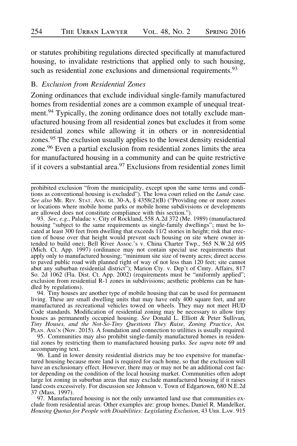or statutes prohibiting regulations directed specifically at manufactured housing, to invalidate restrictions that applied only to such housing, such as residential zone exclusions and dimensional requirements.<sup>93</sup>

# B. Exclusion from Residential Zones

Zoning ordinances that exclude individual single-family manufactured homes from residential zones are a common example of unequal treatment.<sup>94</sup> Typically, the zoning ordinance does not totally exclude manufactured housing from all residential zones but excludes it from some residential zones while allowing it in others or in nonresidential zones.<sup>95</sup> The exclusion usually applies to the lowest density residential zone.96 Even a partial exclusion from residential zones limits the area for manufactured housing in a community and can be quite restrictive if it covers a substantial area. $97$  Exclusions from residential zones limit

prohibited exclusion "from the municipality, except upon the same terms and conditions as conventional housing is excluded"). The Iowa court relied on the Lunde case. See also ME. REV. STAT. ANN. tit. 30-A,  $\S$  4358(2)(B) ("Providing one or more zones or locations where mobile home parks or mobile home subdivisions or developments are allowed does not constitute compliance with this section.").

93. See, e.g., Paladac v. City of Rockland, 558 A.2d 372 (Me. 1989) (manufactured housing "subject to the same requirements as single-family dwellings"; must be located at least 300 feet from dwelling that exceeds 11/2 stories in height; risk that erection of house over that height would prevent such housing on site where owner intended to build one); Bell River Assoc.'s v. China Charter Twp., 565 N.W.2d 695 (Mich. Ct. App. 1997) (ordinance may not contain special use requirements that apply only to manufactured housing; "minimum site size of twenty acres; direct access to paved public road with planned right of way of not less than 120 feet; site cannot abut any suburban residential district"); Marion Cty. v. Dep't of Cmty. Affairs, 817 So. 2d 1062 (Fla. Dist. Ct. App. 2002) (requirements must be "uniformly applied"; exclusion from residential R-1 zones in subdivisions; aesthetic problems can be handled by regulations).

94. Tiny houses are another type of mobile housing that can be used for permanent living. These are small dwelling units that may have only 400 square feet, and are manufactured as recreational vehicles towed on wheels. They may not meet HUD Code standards. Modification of residential zoning may be necessary to allow tiny houses as permanently occupied housing. See Donald L. Elliott & Peter Sullivan, Tiny Houses, and the Not-So-Tiny Questions They Raise, Zoning Practice, AM. PLAN. Ass'n (Nov. 2015). A foundation and connection to utilities is usually required.

95. Communities may also prohibit single-family manufactured homes in residential zones by restricting them to manufactured housing parks. See supra note 69 and accompanying text.

96. Land in lower density residential districts may be too expensive for manufactured housing because more land is required for each home, so that the exclusion will have an exclusionary effect. However, there may or may not be an additional cost factor depending on the condition of the local housing market. Communities often adopt large lot zoning in suburban areas that may exclude manufactured housing if it raises land costs excessively. For discussion see Johnson v. Town of Edgartown, 680 N.E.2d 37 (Mass. 1997).

97. Manufactured housing is not the only unwanted land use that communities exclude from residential areas. Other examples are: group homes, Daniel R. Mandelker, Housing Quotas for People with Disabilities: Legislating Exclusion, 43 URB. LAW. 915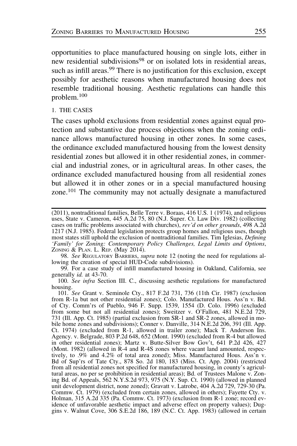opportunities to place manufactured housing on single lots, either in new residential subdivisions<sup>98</sup> or on isolated lots in residential areas, such as infill areas.<sup>99</sup> There is no justification for this exclusion, except possibly for aesthetic reasons when manufactured housing does not resemble traditional housing. Aesthetic regulations can handle this problem.<sup>100</sup>

1. THE CASES

The cases uphold exclusions from residential zones against equal protection and substantive due process objections when the zoning ordinance allows manufactured housing in other zones. In some cases, the ordinance excluded manufactured housing from the lowest density residential zones but allowed it in other residential zones, in commercial and industrial zones, or in agricultural areas. In other cases, the ordinance excluded manufactured housing from all residential zones but allowed it in other zones or in a special manufactured housing zone.<sup>101</sup> The community may not actually designate a manufactured

98. See REGULATORY BARRIERS, supra note 12 (noting the need for regulations allowing the creation of special HUD-Code subdivisions).

99. For a case study of infill manufactured housing in Oakland, California, see generally id. at 43-70.

100. See infra Section III. C., discussing aesthetic regulations for manufactured housing.

101. See Grant v. Seminole Cty., 817 F.2d 731, 736 (11th Cir. 1987) (exclusion from R-1a but not other residential zones); Colo. Manufactured Hous. Ass'n v. Bd. of Cty. Comm'rs of Pueblo, 946 F. Supp. 1539, 1554 (D. Colo. 1996) (excluded from some but not all residential zones); Sweitzer v. O'Fallon, 481 N.E.2d 729, 731 (Ill. App. Ct. 1985) (partial exclusion from SR-1 and SR-2 zones, allowed in mobile home zones and subdivisions); Conner v. Danville, 314 N.E.2d 206, 391 (Ill. App. Ct. 1974) (excluded from R-1, allowed in trailer zone); Mack T. Anderson Ins. Agency. v. Belgrade, 803 P.2d 648, 652 (Mont. 1990) (excluded from R-4 but allowed in other residential zones); Martz v. Butte-Silver Bow Gov't, 641 P.2d 426, 427 (Mont. 1982) (allowed in R-4 and R-4S zones where vacant land amounted, respectively, to .9% and 4.2% of total area zoned); Miss. Manufactured Hous. Ass'n v. Bd of Sup'rs of Tate Cty., 878 So. 2d 180, 183 (Miss. Ct. App. 2004) (restricted from all residential zones not specified for manufactured housing, in county's agricultural areas, no per se prohibition in residential areas); Bd. of Trustees Malone v. Zoning Bd. of Appeals, 562 N.Y.S.2d 973, 975 (N.Y. Sup. Ct. 1990) (allowed in planned unit development district, none zoned); Gravatt v. Latrobe, 404 A.2d 729, 729-30 (Pa. Commw. Ct. 1979) (excluded from certain zones, allowed in others); Fayette Cty. v. Holman, 315 A.2d 335 (Pa. Commw. Ct. 1973) (exclusion from R-1 zone; record evidence of unfavorable aesthetic impact and adverse effect on property values); Duggins v. Walnut Cove, 306 S.E.2d 186, 189 (N.C. Ct. App. 1983) (allowed in certain

<sup>(2011),</sup> nontraditional families, Belle Terre v. Boraas, 416 U.S. 1 (1974), and religious uses, State v. Cameron, 445 A.2d 75, 80 (N.J. Super. Ct. Law Div. 1982) (collecting cases on traffic problems associated with churches), rev'd on other grounds, 498 A.2d 1217 (N.J. 1985). Federal legislation protects group homes and religious uses, though most states still uphold the exclusion of nontraditional families. Tim Iglesias, Defining 'Family' for Zoning: Contemporary Policy Challenges, Legal Limits and Options, ZONING & PLAN. L. REP. (May 2014).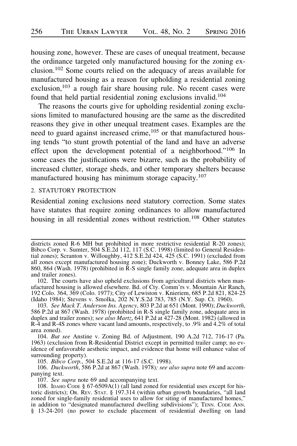housing zone, however. These are cases of unequal treatment, because the ordinance targeted only manufactured housing for the zoning exclusion.102 Some courts relied on the adequacy of areas available for manufactured housing as a reason for upholding a residential zoning exclusion,<sup>103</sup> a rough fair share housing rule. No recent cases were found that held partial residential zoning exclusions invalid.<sup>104</sup>

The reasons the courts give for upholding residential zoning exclusions limited to manufactured housing are the same as the discredited reasons they give in other unequal treatment cases. Examples are the need to guard against increased crime,<sup>105</sup> or that manufactured housing tends "to stunt growth potential of the land and have an adverse effect upon the development potential of a neighborhood."106 In some cases the justifications were bizarre, such as the probability of increased clutter, storage sheds, and other temporary shelters because manufactured housing has minimum storage capacity.<sup>107</sup>

# 2. STATUTORY PROTECTION

Residential zoning exclusions need statutory correction. Some states have statutes that require zoning ordinances to allow manufactured housing in all residential zones without restriction.<sup>108</sup> Other statutes

105. Bibco Corp., 504 S.E.2d at 116-17 (S.C. 1998).

106. Duckworth, 586 P.2d at 867 (Wash. 1978); see also supra note 69 and accompanying text.

107. See supra note 69 and accompanying text.

districts zoned R-6 MH but prohibited in more restrictive residential R-20 zones); Bibco Corp. v. Sumter, 504 S.E.2d 112, 117 (S.C. 1998) (limited to General Residential zones); Scranton v. Willoughby, 412 S.E.2d 424, 425 (S.C. 1991) (excluded from all zones except manufactured housing zone); Duckworth v. Bonney Lake, 586 P.2d 860, 864 (Wash. 1978) (prohibited in R-S single family zone, adequate area in duplex and trailer zones).

<sup>102.</sup> The courts have also upheld exclusions from agricultural districts when manufactured housing is allowed elsewhere. Bd. of Cty. Comm'rs v. Mountain Air Ranch, 192 Colo. 364, 369 (Colo. 1977); City of Lewiston v. Knieriem, 685 P.2d 821, 824-25 (Idaho 1984); Stevens v. Smolka, 202 N.Y.S.2d 783, 785 (N.Y. Sup. Ct. 1960).

<sup>103.</sup> See Mack T. Anderson Ins. Agency, 803 P.2d at 651 (Mont. 1990); Duckworth, 586 P.2d at 867 (Wash. 1978) (prohibited in R-S single family zone, adequate area in duplex and trailer zones); see also Martz, 641 P.2d at 427-28 (Mont. 1982) (allowed in R-4 and R-4S zones where vacant land amounts, respectively, to .9% and 4.2% of total area zoned).

<sup>104.</sup> But see Anstine v. Zoning Bd. of Adjustment, 190 A.2d 712, 716-17 (Pa. 1963) (exclusion from R-Residential District except in permitted trailer camp; no evidence of unfavorable aesthetic impact, and evidence that home will enhance value of surrounding property).

<sup>108.</sup> IDAHO CODE § 67-6509A(1) (all land zoned for residential uses except for historic districts); OR. REV. STAT. § 197.314 (within urban growth boundaries, "all land zoned for single-family residential uses to allow for siting of manufactured homes," in addition to "designated manufactured dwelling subdivisions"); TENN. CODE ANN. § 13-24-201 (no power to exclude placement of residential dwelling on land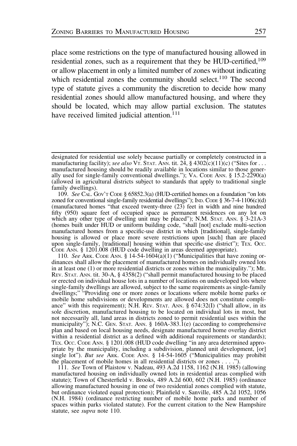place some restrictions on the type of manufactured housing allowed in residential zones, such as a requirement that they be HUD-certified,<sup>109</sup> or allow placement in only a limited number of zones without indicating which residential zones the community should select.<sup>110</sup> The second type of statute gives a community the discretion to decide how many residential zones should allow manufactured housing, and where they should be located, which may allow partial exclusion. The statutes have received limited judicial attention.<sup>111</sup>

110. See ARK. CODE ANN. § 14-54-1604 $\overline{a}$ (1) ("Municipalities that have zoning ordinances shall allow the placement of manufactured homes on individually owned lots in at least one (1) or more residential districts or zones within the municipality."); ME. REV. STAT. ANN. tit. 30-A, § 4358(2) ("shall permit manufactured housing to be placed or erected on individual house lots in a number of locations on undeveloped lots where single-family dwellings are allowed, subject to the same requirements as single-family dwellings;" "Providing one or more zones or locations where mobile home parks or mobile home subdivisions or developments are allowed does not constitute compliance" with this requirement); N.H. REV. STAT. ANN.  $\S$  674:32(I) ("shall allow, in its sole discretion, manufactured housing to be located on individual lots in most, but not necessarily all, land areas in districts zoned to permit residential uses within the municipality"); N.C. GEN. STAT. ANN.  $\S$  160A-383.1(e) (according to comprehensive plan and based on local housing needs, designate manufactured home overlay district within a residential district as a defined with additional requirements or standards); TEX. OCC. CODE ANN. § 1201.008 (HUD code dwelling "in any area determined appropriate by the municipality, including a subdivision, planned unit development, [or] single lot"). But see ARK. CODE ANN. § 14-54-1605 ("Municipalities may prohibit the placement of mobile homes in all residential districts or zones . . . .").

111. See Town of Plaistow v. Nadeau, 493 A.2d 1158, 1162 (N.H. 1985) (allowing manufactured housing on individually owned lots in residential areas complied with statute); Town of Chesterfield v. Brooks, 489 A.2d 600, 602 (N.H. 1985) (ordinance allowing manufactured housing in one of two residential zones complied with statute, but ordinance violated equal protection); Plainfield v. Sanville, 485 A.2d 1052, 1056 (N.H. 1984) (ordinance restricting number of mobile home parks and number of spaces within parks violated statute). For the current citation to the New Hampshire statute, see *supra* note 110.

designated for residential use solely because partially or completely constructed in a manufacturing facility); see also VT. STAT. ANN. tit. 24,  $\S$  4302(c)(11)(c) ("Sites for ... manufactured housing should be readily available in locations similar to those generally used for single-family conventional dwellings."); VA. CODE ANN.  $\S$  15.2-2290(a) (allowed in agricultural districts subject to standards that apply to traditional single family dwellings).

<sup>109.</sup> See CAL. GOV'T CODE § 65852.3(a) (HUD-certified homes on a foundation "on lots zoned for conventional single-family residential dwellings"); IND. CODE § 36-7-4-1106(c)(d) (manufactured homes "that exceed twenty-three (23) feet in width and nine hundred fifty (950) square feet of occupied space as permanent residences on any lot on which any other type of dwelling unit may be placed"); N.M. STAT. ANN. § 3-21A-3 (homes built under HUD or uniform building code, "shall [not] exclude multi-section manufactured homes from a specific-use district in which [traditional], single-family housing is allowed or place more severe restrictions upon [such] than are placed upon single-family, [traditional] housing within that specific-use district"); TEX. OCC. CODE ANN. § 1201.008 (HUD code dwelling in areas deemed appropriate).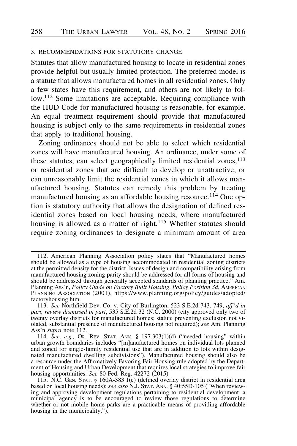#### 3. RECOMMENDATIONS FOR STATUTORY CHANGE

Statutes that allow manufactured housing to locate in residential zones provide helpful but usually limited protection. The preferred model is a statute that allows manufactured homes in all residential zones. Only a few states have this requirement, and others are not likely to follow.112 Some limitations are acceptable. Requiring compliance with the HUD Code for manufactured housing is reasonable, for example. An equal treatment requirement should provide that manufactured housing is subject only to the same requirements in residential zones that apply to traditional housing.

Zoning ordinances should not be able to select which residential zones will have manufactured housing. An ordinance, under some of these statutes, can select geographically limited residential zones,  $113$ or residential zones that are difficult to develop or unattractive, or can unreasonably limit the residential zones in which it allows manufactured housing. Statutes can remedy this problem by treating manufactured housing as an affordable housing resource.<sup>114</sup> One option is statutory authority that allows the designation of defined residential zones based on local housing needs, where manufactured housing is allowed as a matter of right.<sup>115</sup> Whether statutes should require zoning ordinances to designate a minimum amount of area

<sup>112.</sup> American Planning Association policy states that "Manufactured homes should be allowed as a type of housing accommodated in residential zoning districts at the permitted density for the district. Issues of design and compatibility arising from manufactured housing zoning parity should be addressed for all forms of housing and should be addressed through generally accepted standards of planning practice." Am. Planning Ass'n, Policy Guide on Factory Built Housing, Policy Position 3d, AMERICAN PLANNING ASSOCIATION (2001), https://www.planning.org/policy/guides/adopted/ factoryhousing.htm.

<sup>113.</sup> See Northfield Dev. Co. v. City of Burlington, 523 S.E.2d 743, 749, aff'd in part, review dismissed in part, 535 S.E.2d 32 (N.C. 2000) (city approved only two of twenty overlay districts for manufactured homes; statute preventing exclusion not violated, substantial presence of manufactured housing not required); see Am. Planning Ass'n *supra* note 112.

<sup>114.</sup> See, e.g., Or. REV. STAT. ANN. § 197.303(1)(d) ("needed housing" within urban growth boundaries includes "[m]anufactured homes on individual lots planned and zoned for single-family residential use that are in addition to lots within designated manufactured dwelling subdivisions"). Manufactured housing should also be a resource under the Affirmatively Favoring Fair Housing rule adopted by the Department of Housing and Urban Development that requires local strategies to improve fair housing opportunities. See 80 Fed. Reg. 42272 (2015).

<sup>115.</sup> N.C. GEN. STAT. § 160A-383.1 $(e)$  (defined overlay district in residential area based on local housing needs); see also N.J. STAT. ANN. §  $40:55D-105$  ("When reviewing and approving development regulations pertaining to residential development, a municipal agency is to be encouraged to review those regulations to determine whether or not mobile home parks are a practicable means of providing affordable housing in the municipality.").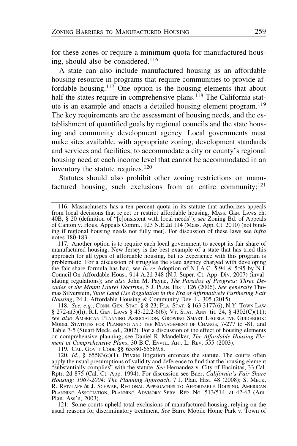for these zones or require a minimum quota for manufactured housing, should also be considered.<sup>116</sup>

A state can also include manufactured housing as an affordable housing resource in programs that require communities to provide affordable housing.<sup>117</sup> One option is the housing elements that about half the states require in comprehensive plans.<sup>118</sup> The California statute is an example and enacts a detailed housing element program.<sup>119</sup> The key requirements are the assessment of housing needs, and the establishment of quantified goals by regional councils and the state housing and community development agency. Local governments must make sites available, with appropriate zoning, development standards and services and facilities, to accommodate a city or county's regional housing need at each income level that cannot be accommodated in an inventory the statute requires.<sup>120</sup>

Statutes should also prohibit other zoning restrictions on manufactured housing, such exclusions from an entire community;  $121$ 

118. See, e.g., CONN. GEN. STAT. § 8-23; FLA. STAT. § 163.3177(6); N.Y. TOWN LAW § 272-a(3)(h); R.I. GEN. LAWS § 45-22.2-6(6); VT. STAT. ANN. tit. 24, § 4302(C)(11); see also AMERICAN PLANNING ASSOCIATION, GROWING SMART LEGISLATIVE GUIDEBOOK: MODEL STATUTES FOR PLANNING AND THE MANAGEMENT OF CHANGE, 7-277 to -81, and Table 7-5 (Stuart Meck, ed., 2002). For a discussion of the effect of housing elements on comprehensive planning, see Daniel R. Mandelker, The Affordable Housing Element in Comprehensive Plans, 30 B.C. ENVTL. AFF. L. REV. 555 (2003).

119. CAL. GOV'T CODE §§ 65580-65589.8.

120. Id., §  $65583(c)(1)$ . Private litigation enforces the statute. The courts often apply the usual presumptions of validity and deference to find that the housing element "substantially complies" with the statute. See Hernandez v. City of Encinitas, 33 Cal. Rptr. 2d 875 (Cal. Ct. App. 1994). For discussion see Baer, California's Fair-Share Housing: 1967-2004: The Planning Approach, 7 J. Plan. Hist. 48 (2008); S. MECK, R. RETZLAFF & J. SCHWAB, REGIONAL APPROACHES TO AFFORDABLE HOUSING, AMERICAN PLANNING ASSOCIATION, PLANNING ADVISORY SERV. REP. No. 513/514, at 42-67 (Am. Plan. Ass'n, 2003).

121. Some courts upheld total exclusions of manufactured housing, relying on the usual reasons for discriminatory treatment. See Barre Mobile Home Park v. Town of

<sup>116.</sup> Massachusetts has a ten percent quota in its statute that authorizes appeals from local decisions that reject or restrict affordable housing. MASS. GEN. LAWS ch. 40B, § 20 (definition of "[c]onsistent with local needs"); see Zoning Bd. of Appeals of Canton v. Hous. Appeals Comm., 923 N.E.2d 114 (Mass. App. Ct. 2010) (not binding if regional housing needs not fully met). For discussion of these laws see infra notes 180-183.

<sup>117.</sup> Another option is to require each local government to accept its fair share of manufactured housing. New Jersey is the best example of a state that has tried this approach for all types of affordable housing, but its experience with this program is problematic. For a discussion of struggles the state agency charged with developing the fair share formula has had, see *In re* Adoption of N.J.A.C. 5:94 & 5:95 by N.J. Council On Affordable Hous., 914 A.2d 348 (N.J. Super. Ct. App. Div. 2007) (invalidating regulations); see also John M. Payne, The Paradox of Progress: Three Decades of the Mount Laurel Doctrine, 5 J. PLAN. HIST. 126 (2006). See generally Thomas Silverstein, State Land Use Regulation in the Era of Affirmatively Furthering Fair Housing, 24 J. Affordable Housing & Community Dev. L. 305 (2015).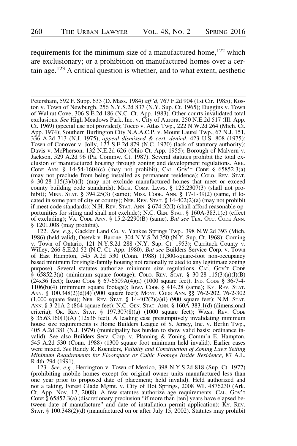requirements for the minimum size of a manufactured home,<sup>122</sup> which are exclusionary; or a prohibition on manufactured homes over a certain age.123 A critical question is whether, and to what extent, aesthetic

Petersham, 592 F. Supp. 633 (D. Mass. 1984) aff 'd, 767 F.2d 904 (1st Cir. 1985); Koston v. Town of Newburgh, 256 N.Y.S.2d 837 (N.Y. Sup. Ct. 1965); Duggins v. Town of Walnut Cove, 306 S.E.2d 186 (N.C. Ct. App. 1983). Other courts invalidated total exclusions. See High Meadows Park, Inc. v. City of Aurora, 250 N.E.2d 517 (Ill. App. Ct. 1969) (special use not provided); Tocco v. Atlas Twp., 222 N.W.2d 264 (Mich. Ct. App. 1974); Southern Burlington City N.A.A.C.P. v. Mount Laurel Twp., 67 N.J. 151, 336 A.2d 713 (N.J. 1975), appeal dismissed & cert. denied, 423 U.S. 808 (1975); Town of Conover v. Jolly, 177 S.E.2d 879 (N.C. 1970) (lack of statutory authority); Davis v. McPherson, 132 N.E.2d 626 (Ohio Ct. App. 1955); Borough of Malvern v. Jackson, 529 A.2d 96 (Pa. Commw. Ct. 1987). Several statutes prohibit the total exclusion of manufactured housing through zoning and development regulations. ARK. CoDE ANN. § 14-54-1604(c) (may not prohibit); CAL. Gov't CoDE § 65852.3(a) (may not preclude from being installed as permanent residence); COLO. REV. STAT. § 30-28-115(3)(b)(I) (may not exclude manufactured homes that meet or exceed county building code standards); MICH. COMP. LAWS. § 125.2307(3) (shall not prohibit); MINN. STAT. § 394.25(3) (same); MISS. CODE. ANN. § 17-1-39(2) (same, if located in some part of city or county); NEB. REV. STAT.  $\S$  14-402(2)(a) (may not prohibit if meet code standards); N.H. REV. STAT. ANN. § 674:32(I) (shall afford reasonable opportunities for siting and shall not exclude); N.C. GEN. STAT. § 160A-383.1(c) (effect of excluding); VA. CODE ANN. § 15.2-2290(B) (same). But see TEX. OCC. CODE ANN. § 1201.008 (may prohibit).

122. See, e.g., Gackler Land Co. v. Yankee Springs Twp., 398 N.W.2d 393 (Mich. 1986) (held valid); Osetek v. Barone, 304 N.Y.S.2d 350 (N.Y. Sup. Ct. 1968); Corning v. Town of Ontario, 121 N.Y.S.2d 288 (N.Y. Sup. Ct. 1953); Currituck County v. Willey, 266 S.E.2d 52 (N.C. Ct. App. 1980). But see Builders Service Corp. v. Town of East Hampton, 545 A.2d 530 (Conn. 1988) (1,300-square-foot non-occupancy based minimum for single-family housing not rationally related to any legitimate zoning purpose). Several statutes authorize minimum size regulations. CAL. GOV'T CODE  $\S$  65852.3(a) (minimum square footage); COLO. REV. STAT.  $\S$  30-28-115(3)(a)(I)(B) (24x36 feet); IDAHO CODE § 67-6509A(4)(a) (1000 square feet); IND. CODE § 36-7-4-1106(b)(4) (minimum square footage); IOWA CODE § 414.28 (same); KY. REV. STAT. ANN. § 100.348(2)(d)(4) (900 square feet); MONT. CODE ANN. §§ 76-2-202, 76-2-302  $(1,000 \text{ square feet})$ ; NEB. REV. STAT. § 14-402 $(2)(a)(i)$   $(900 \text{ square feet})$ ; N.M. STAT. ANN. § 3-21A-2 (864 square feet); N.C. GEN. STAT. ANN. § 160A-383.1(d) (dimensional criteria); OR. REV. STAT. § 197.307(8)(a) (1000 square feet); WASH. REV. CODE § 35.63.160(1)(A) (12x36 feet). A leading case presumptively invalidating minimum house size requirements is Home Builders League of S. Jersey, Inc. v. Berlin Twp., 405 A.2d 381 (N.J. 1979) (municipality has burden to show valid basis; ordinance invalid). See also Builders Serv. Corp. v. Planning & Zoning Comm'n E. Hampton, 545 A.2d 530 (Conn. 1988) (1300 square foot minimum held invalid). Earlier cases were mixed. See Randy R. Koenders, Validity and Construction of Zoning Laws Setting Minimum Requirements for Floorspace or Cubic Footage Inside Residence, 87 A.L. R.4th 294 (1991).

123. See, e.g., Herrington v. Town of Mexico, 398 N.Y.S.2d 818 (Sup. Ct. 1977) (prohibiting mobile homes except for original owner units manufactured less than one year prior to proposed date of placement; held invalid). Held authorized and not a taking, Forest Glade Mgmt. v. City of Hot Springs, 2008 WL 4876230 (Ark. Ct. App. Nov. 12, 2008). A few statutes authorize age requirements. CAL. GOV'T CODE  $\S$  65852.3(a) (discretionary preclusion "if more than [ten] years have elapsed between date of manufacture" and date of installation permit application); Ky. Rev. STAT. § 100.348(2)(d) (manufactured on or after July 15, 2002). Statutes may prohibit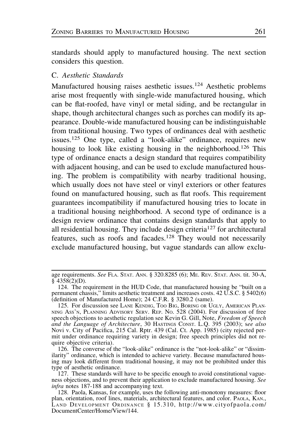standards should apply to manufactured housing. The next section considers this question.

# C. Aesthetic Standards

Manufactured housing raises aesthetic issues.<sup>124</sup> Aesthetic problems arise most frequently with single-wide manufactured housing, which can be flat-roofed, have vinyl or metal siding, and be rectangular in shape, though architectural changes such as porches can modify its appearance. Double-wide manufactured housing can be indistinguishable from traditional housing. Two types of ordinances deal with aesthetic issues.<sup>125</sup> One type, called a "look-alike" ordinance, requires new housing to look like existing housing in the neighborhood.<sup>126</sup> This type of ordinance enacts a design standard that requires compatibility with adjacent housing, and can be used to exclude manufactured housing. The problem is compatibility with nearby traditional housing, which usually does not have steel or vinyl exteriors or other features found on manufactured housing, such as flat roofs. This requirement guarantees incompatibility if manufactured housing tries to locate in a traditional housing neighborhood. A second type of ordinance is a design review ordinance that contains design standards that apply to all residential housing. They include design criteria<sup>127</sup> for architectural features, such as roofs and facades.<sup>128</sup> They would not necessarily exclude manufactured housing, but vague standards can allow exclu-

age requirements. See FLA. STAT. ANN. § 320.8285 (6); ME. REV. STAT. ANN. tit. 30-A,  $§$  4358(2)(D).

<sup>124.</sup> The requirement in the HUD Code, that manufactured housing be "built on a permanent chassis," limits aesthetic treatment and increases costs. 42 U.S.C. § 5402(6) (definition of Manufactured Home); 24 C.F.R. § 3280.2 (same).

<sup>125.</sup> For discussion see LANE KENDIG, TOO BIG, BORING OR UGLY, AMERICAN PLAN-NING ASS'N, PLANNING ADVISORY SERV. REP. NO. 528 (2004). For discussion of free speech objections to aesthetic regulation see Kevin G. Gill, Note, Freedom of Speech and the Language of Architecture, 30 HASTINGS CONST. L.Q. 395 (2003); see also Novi v. City of Pacifica, 215 Cal. Rptr. 439 (Cal. Ct. App. 1985) (city rejected permit under ordinance requiring variety in design; free speech principles did not require objective criteria).

<sup>126.</sup> The converse of the "look-alike" ordinance is the "not-look-alike" or "dissimilarity" ordinance, which is intended to achieve variety. Because manufactured housing may look different from traditional housing, it may not be prohibited under this type of aesthetic ordinance.

<sup>127.</sup> These standards will have to be specific enough to avoid constitutional vagueness objections, and to prevent their application to exclude manufactured housing. See infra notes 187-188 and accompanying text.

<sup>128.</sup> Paola, Kansas, for example, uses the following anti-monotony measures: floor plan, orientation, roof lines, materials, architectural features, and color. PAOLA, KAN., LAND DEVELOPMENT ORDINANCE § 15.310, http://www.cityofpaola.com/ DocumentCenter/Home/View/144.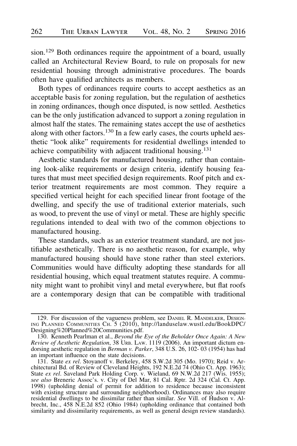sion.<sup>129</sup> Both ordinances require the appointment of a board, usually called an Architectural Review Board, to rule on proposals for new residential housing through administrative procedures. The boards often have qualified architects as members.

Both types of ordinances require courts to accept aesthetics as an acceptable basis for zoning regulation, but the regulation of aesthetics in zoning ordinances, though once disputed, is now settled. Aesthetics can be the only justification advanced to support a zoning regulation in almost half the states. The remaining states accept the use of aesthetics along with other factors.<sup>130</sup> In a few early cases, the courts upheld aesthetic "look alike" requirements for residential dwellings intended to achieve compatibility with adjacent traditional housing.<sup>131</sup>

Aesthetic standards for manufactured housing, rather than containing look-alike requirements or design criteria, identify housing features that must meet specified design requirements. Roof pitch and exterior treatment requirements are most common. They require a specified vertical height for each specified linear front footage of the dwelling, and specify the use of traditional exterior materials, such as wood, to prevent the use of vinyl or metal. These are highly specific regulations intended to deal with two of the common objections to manufactured housing.

These standards, such as an exterior treatment standard, are not justifiable aesthetically. There is no aesthetic reason, for example, why manufactured housing should have stone rather than steel exteriors. Communities would have difficulty adopting these standards for all residential housing, which equal treatment statutes require. A community might want to prohibit vinyl and metal everywhere, but flat roofs are a contemporary design that can be compatible with traditional

<sup>129.</sup> For discussion of the vagueness problem, see DANIEL R. MANDELKER, DESIGN-ING PLANNED COMMUNITIES CH. 5 (2010), http://landuselaw.wustl.edu/BookDPC/ Designing%20Planned%20Communities.pdf.

<sup>130.</sup> Kenneth Pearlman et al., Beyond the Eye of the Beholder Once Again: A New Review of Aesthetic Regulation, 38 URB. LAW. 1119 (2006). An important dictum endorsing aesthetic regulation in *Berman v. Parker*, 348 U.S. 26, 102-03 (1954) has had an important influence on the state decisions.

<sup>131.</sup> State ex rel. Stoyanoff v. Berkeley, 458 S.W.2d 305 (Mo. 1970); Reid v. Architectural Bd. of Review of Cleveland Heights, 192 N.E.2d 74 (Ohio Ct. App. 1963); State ex rel. Saveland Park Holding Corp. v. Wieland, 69 N.W.2d 217 (Wis. 1955); see also Breneric Assoc's. v. City of Del Mar, 81 Cal. Rptr. 2d 324 (Cal. Ct. App. 1998) (upholding denial of permit for addition to residence because inconsistent with existing structure and surrounding neighborhood). Ordinances may also require residential dwellings to be dissimilar rather than similar. See Vill. of Hudson v. Albrecht, Inc., 458 N.E.2d 852 (Ohio 1984) (upholding ordinance that contained both similarity and dissimilarity requirements, as well as general design review standards).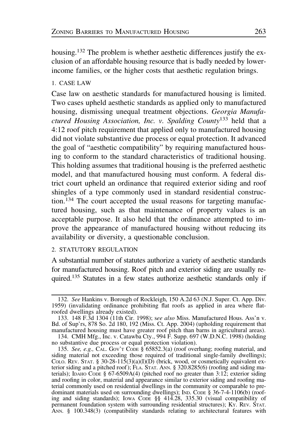housing.<sup>132</sup> The problem is whether aesthetic differences justify the exclusion of an affordable housing resource that is badly needed by lowerincome families, or the higher costs that aesthetic regulation brings.

# 1. CASE LAW

Case law on aesthetic standards for manufactured housing is limited. Two cases upheld aesthetic standards as applied only to manufactured housing, dismissing unequal treatment objections. Georgia Manufactured Housing Association, Inc. v. Spalding County<sup>133</sup> held that a 4:12 roof pitch requirement that applied only to manufactured housing did not violate substantive due process or equal protection. It advanced the goal of "aesthetic compatibility" by requiring manufactured housing to conform to the standard characteristics of traditional housing. This holding assumes that traditional housing is the preferred aesthetic model, and that manufactured housing must conform. A federal district court upheld an ordinance that required exterior siding and roof shingles of a type commonly used in standard residential construction.<sup>134</sup> The court accepted the usual reasons for targeting manufactured housing, such as that maintenance of property values is an acceptable purpose. It also held that the ordinance attempted to improve the appearance of manufactured housing without reducing its availability or diversity, a questionable conclusion.

## 2. STATUTORY REGULATION

A substantial number of statutes authorize a variety of aesthetic standards for manufactured housing. Roof pitch and exterior siding are usually required.135 Statutes in a few states authorize aesthetic standards only if

<sup>132.</sup> See Hankins v. Borough of Rockleigh, 150 A.2d 63 (N.J. Super. Ct. App. Div. 1959) (invalidating ordinance prohibiting flat roofs as applied in area where flatroofed dwellings already existed).

<sup>133. 148</sup> F.3d 1304 (11th Cir. 1998); see also Miss. Manufactured Hous. Ass'n v. Bd. of Sup'rs, 878 So. 2d 180, 192 (Miss. Ct. App. 2004) (upholding requirement that manufactured housing must have greater roof pitch than barns in agricultural areas).

<sup>134.</sup> CMH Mfg., Inc. v. Catawba Cty., 994 F. Supp. 697 (W.D.N.C. 1998) (holding no substantive due process or equal protection violation).

<sup>135.</sup> See, e.g., CAL. Gov't CoDE  $\S$  65852.3(a) (roof overhang; roofing material, and siding material not exceeding those required of traditional single-family dwellings); COLO. REV. STAT. § 30-28-115(3)(a)(I)(D) (brick, wood, or cosmetically equivalent exterior siding and a pitched roof ); FLA. STAT. ANN. § 320.8285(6) (roofing and siding materials); IDAHO CODE § 67-6509A(4) (pitched roof no greater than 3:12; exterior siding and roofing in color, material and appearance similar to exterior siding and roofing material commonly used on residential dwellings in the community or comparable to predominant materials used on surrounding dwellings); IND. CODE § 36-7-4-1106(b) (roofing and siding standards); IOWA CODE §§ 414.28, 335.30 (visual compatibility of permanent foundation system with surrounding residential structures); KY. REV. STAT. ANN. § 100.348(3) (compatibility standards relating to architectural features with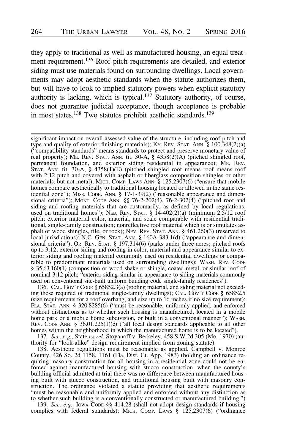they apply to traditional as well as manufactured housing, an equal treatment requirement.136 Roof pitch requirements are detailed, and exterior siding must use materials found on surrounding dwellings. Local governments may adopt aesthetic standards when the statute authorizes them, but will have to look to implied statutory powers when explicit statutory authority is lacking, which is typical.<sup>137</sup> Statutory authority, of course, does not guarantee judicial acceptance, though acceptance is probable in most states.<sup>138</sup> Two statutes prohibit aesthetic standards.<sup>139</sup>

136. CAL. GOV'T CODE § 65852.3(a) (roofing material, and siding material not exceeding those required of traditional single-family dwellings); CAL. Gov't Code § 65852.5 (size requirements for a roof overhang, and size up to  $16$  inches if no size requirement); FLA. STAT. ANN. § 320.8285(6) ("must be reasonable, uniformly applied, and enforced without distinctions as to whether such housing is manufactured, located in a mobile home park or a mobile home subdivision, or built in a conventional manner"); WASH. REV. CODE ANN. § 36.01.225(1)(c) ("all local design standards applicable to all other homes within the neighborhood in which the manufactured home is to be located").

137. See, e.g., State ex rel. Stoyanoff v. Berkeley, 458 S.W.2d 305 (Mo. 1970) (authority for "look-alike" design requirement implied from zoning statute).

138. Aesthetic regulations must be reasonable as applied. Campbell v. Monroe County, 426 So. 2d 1158, 1161 (Fla. Dist. Ct. App. 1983) (holding an ordinance requiring masonry construction for all housing in a residential zone could not be enforced against manufactured housing with stucco construction, when the county's building official admitted at trial there was no difference between manufactured housing built with stucco construction, and traditional housing built with masonry construction. The ordinance violated a statute providing that aesthetic requirements "must be reasonable and uniformly applied and enforced without any distinction as to whether such building is a conventionally constructed or manufactured building.")

139. See, e.g., IOWA CODE §§ 414.28 (shall not adopt design standards if housing complies with federal standards); MICH. COMP. LAWS § 125.2307(6) ("ordinance

significant impact on overall assessed value of the structure, including roof pitch and type and quality of exterior finishing materials); Ky. Rev. STAT. ANN.  $\S$  100.348(2)(a) ("compatibility standards" means standards to protect and preserve monetary value of real property); ME. REV. STAT. ANN. tit. 30-A, § 4358(2)(A) (pitched shingled roof, permanent foundation, and exterior siding residential in appearance); ME. Rev. STAT. ANN. tit. 30-A, § 4358(1)(E) (pitched shingled roof means roof means roof with 2:12 pitch and covered with asphalt or fiberglass composition shingles or other materials, but not metal); MICH. COMP. LAWS ANN. § 125.2307(6) ("ensure that mobile homes compare aesthetically to traditional housing located or allowed in the same residential zone"); MISS. CODE. ANN. § 17-1-39(2) ("reasonable appearance and dimensional criteria"); MONT. CODE ANN.  $\S$ § 76-2-202(4), 76-2-302(4) ("pitched roof and siding and roofing materials that are customarily, as defined by local regulations, used on traditional homes"); NEB. REV. STAT.  $\S$  14-402(2)(a) (minimum 2.5/12 roof pitch; exterior material color, material, and scale comparable with residential traditional, single-family construction; nonreflective roof material which is or simulates asphalt or wood shingles, tile, or rock); NEV. REV. STAT. ANN. § 461.260(3) (reserved to local jurisdictions); N.C. GEN. STAT. ANN. § 160A-383.1(d) ("appearance and dimensional criteria"); OR. REV. STAT. § 197.314(6) (parks under three acres; pitched roofs up to 3:12; exterior siding and roofing in color, material and appearance similar to exterior siding and roofing material commonly used on residential dwellings or comparable to predominant materials used on surrounding dwellings); WASH. REV. CODE § 35.63.160(1) (composition or wood shake or shingle, coated metal, or similar roof of nominal 3:12 pitch; "exterior siding similar in appearance to siding materials commonly used on conventional site-built uniform building code single-family residences").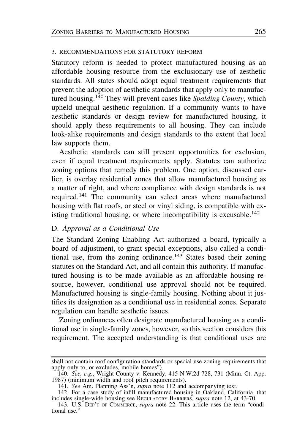## 3. RECOMMENDATIONS FOR STATUTORY REFORM

Statutory reform is needed to protect manufactured housing as an affordable housing resource from the exclusionary use of aesthetic standards. All states should adopt equal treatment requirements that prevent the adoption of aesthetic standards that apply only to manufactured housing.<sup>140</sup> They will prevent cases like Spalding County, which upheld unequal aesthetic regulation. If a community wants to have aesthetic standards or design review for manufactured housing, it should apply these requirements to all housing. They can include look-alike requirements and design standards to the extent that local law supports them.

Aesthetic standards can still present opportunities for exclusion, even if equal treatment requirements apply. Statutes can authorize zoning options that remedy this problem. One option, discussed earlier, is overlay residential zones that allow manufactured housing as a matter of right, and where compliance with design standards is not required.<sup>141</sup> The community can select areas where manufactured housing with flat roofs, or steel or vinyl siding, is compatible with existing traditional housing, or where incompatibility is excusable.<sup>142</sup>

### D. Approval as a Conditional Use

The Standard Zoning Enabling Act authorized a board, typically a board of adjustment, to grant special exceptions, also called a conditional use, from the zoning ordinance.<sup>143</sup> States based their zoning statutes on the Standard Act, and all contain this authority. If manufactured housing is to be made available as an affordable housing resource, however, conditional use approval should not be required. Manufactured housing is single-family housing. Nothing about it justifies its designation as a conditional use in residential zones. Separate regulation can handle aesthetic issues.

Zoning ordinances often designate manufactured housing as a conditional use in single-family zones, however, so this section considers this requirement. The accepted understanding is that conditional uses are

shall not contain roof configuration standards or special use zoning requirements that apply only to, or excludes, mobile homes").

<sup>140.</sup> See, e.g., Wright County v. Kennedy, 415 N.W.2d 728, 731 (Minn. Ct. App. 1987) (minimum width and roof pitch requirements).

<sup>141.</sup> See Am. Planning Ass'n, supra note 112 and accompanying text.

<sup>142.</sup> For a case study of infill manufactured housing in Oakland, California, that includes single-wide housing see REGULATORY BARRIERS, supra note 12, at 43-70.

<sup>143.</sup> U.S. DEP'T OF COMMERCE, supra note 22. This article uses the term "conditional use."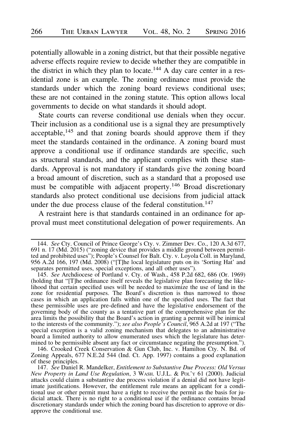potentially allowable in a zoning district, but that their possible negative adverse effects require review to decide whether they are compatible in the district in which they plan to locate.<sup>144</sup> A day care center in a residential zone is an example. The zoning ordinance must provide the standards under which the zoning board reviews conditional uses; these are not contained in the zoning statute. This option allows local governments to decide on what standards it should adopt.

State courts can reverse conditional use denials when they occur. Their inclusion as a conditional use is a signal they are presumptively acceptable, $145$  and that zoning boards should approve them if they meet the standards contained in the ordinance. A zoning board must approve a conditional use if ordinance standards are specific, such as structural standards, and the applicant complies with these standards. Approval is not mandatory if standards give the zoning board a broad amount of discretion, such as a standard that a proposed use must be compatible with adjacent property.146 Broad discretionary standards also protect conditional use decisions from judicial attack under the due process clause of the federal constitution.<sup>147</sup>

A restraint here is that standards contained in an ordinance for approval must meet constitutional delegation of power requirements. An

146. Crooked Creek Conservation & Gun Club, Inc. v. Hamilton Cty. N. Bd. of Zoning Appeals, 677 N.E.2d 544 (Ind. Ct. App. 1997) contains a good explanation of these principles.

<sup>144.</sup> See Cty. Council of Prince George's Cty. v. Zimmer Dev. Co., 120 A.3d 677, 691 n. 17 (Md. 2015) ("zoning device that provides a middle ground between permitted and prohibited uses"); People's Counsel for Balt. Cty. v. Loyola Coll. in Maryland, 956 A.2d 166, 197 (Md. 2008) ("[T]he local legislature puts on its 'Sorting Hat' and separates permitted uses, special exceptions, and all other uses").

<sup>145.</sup> See Archdiocese of Portland v. Cty. of Wash., 458 P.2d 682, 686 (Or. 1969) (holding that "[T]he ordinance itself reveals the legislative plan forecasting the likelihood that certain specified uses will be needed to maximize the use of land in the zone for residential purposes. The Board's discretion is thus narrowed to those cases in which an application falls within one of the specified uses. The fact that these permissible uses are pre-defined and have the legislative endorsement of the governing body of the county as a tentative part of the comprehensive plan for the area limits the possibility that the Board's action in granting a permit will be inimical to the interests of the community."); see also People's Council, 965 A.2d at 197 ("The special exception is a valid zoning mechanism that delegates to an administrative board a limited authority to allow enumerated uses which the legislature has determined to be permissible absent any fact or circumstance negating the presumption.").

<sup>147.</sup> See Daniel R. Mandelker, Entitlement to Substantive Due Process: Old Versus New Property in Land Use Regulation, 3 WASH. U.J.L. & POL'Y 61 (2000). Judicial attacks could claim a substantive due process violation if a denial did not have legitimate justifications. However, the entitlement rule means an applicant for a conditional use or other permit must have a right to receive the permit as the basis for judicial attack. There is no right to a conditional use if the ordinance contains broad discretionary standards under which the zoning board has discretion to approve or disapprove the conditional use.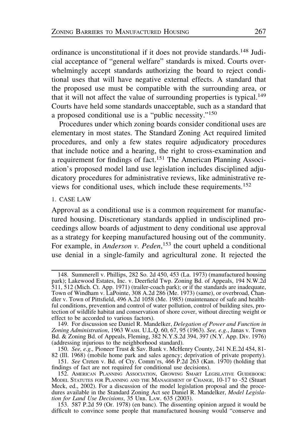ordinance is unconstitutional if it does not provide standards.<sup>148</sup> Judicial acceptance of "general welfare" standards is mixed. Courts overwhelmingly accept standards authorizing the board to reject conditional uses that will have negative external effects. A standard that the proposed use must be compatible with the surrounding area, or that it will not affect the value of surrounding properties is typical.<sup>149</sup> Courts have held some standards unacceptable, such as a standard that a proposed conditional use is a "public necessity."<sup>150</sup>

Procedures under which zoning boards consider conditional uses are elementary in most states. The Standard Zoning Act required limited procedures, and only a few states require adjudicatory procedures that include notice and a hearing, the right to cross-examination and a requirement for findings of fact.<sup>151</sup> The American Planning Association's proposed model land use legislation includes disciplined adjudicatory procedures for administrative reviews, like administrative reviews for conditional uses, which include these requirements.<sup>152</sup>

#### 1. CASE LAW

Approval as a conditional use is a common requirement for manufactured housing. Discretionary standards applied in undisciplined proceedings allow boards of adjustment to deny conditional use approval as a strategy for keeping manufactured housing out of the community. For example, in *Anderson v. Peden*,<sup>153</sup> the court upheld a conditional use denial in a single-family and agricultural zone. It rejected the

<sup>148.</sup> Summerell v. Phillips, 282 So. 2d 450, 453 (La. 1973) (manufactured housing park); Lakewood Estates, Inc. v. Deerfield Twp. Zoning Bd. of Appeals, 194 N.W.2d 511, 512 (Mich. Ct. App. 1971) (trailer-coach park); or if the standards are inadequate, Town of Windham v. LaPointe, 308 A.2d 286 (Me. 1973) (same), or overbroad, Chandler v. Town of Pittsfield, 496 A.2d 1058 (Me. 1985) (maintenance of safe and healthful conditions, prevention and control of water pollution, control of building sites, protection of wildlife habitat and conservation of shore cover, without directing weight or effect to be accorded to various factors).

<sup>149.</sup> For discussion see Daniel R. Mandelker, Delegation of Power and Function in Zoning Administration, 1963 WASH. U.L.Q. 60, 67, 95 (1963). See, e.g., Janas v. Town Bd. & Zoning Bd. of Appeals, Fleming, 382 N.Y.S.2d 394, 397 (N.Y. App. Div. 1976) (addressing injurious to the neighborhood standard).

<sup>150.</sup> See, e.g., Pioneer Trust & Sav. Bank v. McHenry County, 241 N.E.2d 454, 81-

<sup>82 (</sup>Ill. 1968) (mobile home park and sales agency; deprivation of private property). 151. See Creten v. Bd. of Cty. Comm'rs, 466 P.2d 263 (Kan. 1970) (holding that findings of fact are not required for conditional use decisions).

<sup>152.</sup> AMERICAN PLANNING ASSOCIATION, GROWING SMART LEGISLATIVE GUIDEBOOK: MODEL STATUTES FOR PLANNING AND THE MANAGEMENT OF CHANGE, 10-17 to -52 (Stuart Meck, ed., 2002). For a discussion of the model legislation proposal and the procedures available in the Standard Zoning Act see Daniel R. Mandelker, Model Legislation for Land Use Decisions, 35 URB. LAW. 635 (2003).

<sup>153. 587</sup> P.2d 59 (Or. 1978) (en banc). The dissenting opinion argued it would be difficult to convince some people that manufactured housing would "conserve and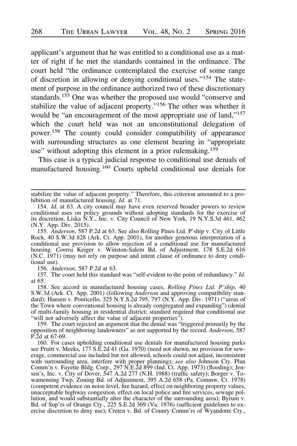applicant's argument that he was entitled to a conditional use as a matter of right if he met the standards contained in the ordinance. The court held "the ordinance contemplated the exercise of some range of discretion in allowing or denying conditional uses."<sup>154</sup> The statement of purpose in the ordinance authorized two of these discretionary standards.<sup>155</sup> One was whether the proposed use would "conserve and stabilize the value of adjacent property."<sup>156</sup> The other was whether it would be "an encouragement of the most appropriate use of land,"<sup>157</sup> which the court held was not an unconstitutional delegation of power.158 The county could consider compatibility of appearance with surrounding structures as one element bearing in "appropriate use" without adopting this element in a prior rulemaking.<sup>159</sup>

This case is a typical judicial response to conditional use denials of manufactured housing.<sup>160</sup> Courts upheld conditional use denials for

155. Anderson, 587 P.2d at 63. See also Rolling Pines Ltd. P'ship v. City of Little Rock, 40 S.W.3d 828 (Ark. Ct. App. 2001), for another generous interpretation of a conditional use provision to allow rejection of a conditional use for manufactured housing. Contra Keiger v. Winston-Salem Bd. of Adjustment, 178 S.E.2d 616 (N.C. 1971) (may not rely on purpose and intent clause of ordinance to deny conditional use).

156. Anderson, 587 P.2d at 63.

157. The court held this standard was "self-evident to the point of redundancy." Id. at 65.

158. See accord in manufactured housing cases, Rolling Pines Ltd. P'ship, 40 S.W.3d (Ark. Ct. App. 2001) (following Anderson and approving compatibility standard); Hansen v. Ponticello, 325 N.Y.S.2d 795, 797 (N.Y. App. Div. 1971) ("areas of the Town where conventional housing is already congregated and expanding") (denial of multi-family housing in residential district; standard required that conditional use "will not adversely affect the value of adjacent properties").

159. The court rejected an argument that the denial was "triggered primarily by the opposition of neighboring landowners" as not supported by the record. Anderson, 587 P.2d at 67-69.

160. For cases upholding conditional use denials for manufactured housing parks see Pruitt v. Meeks, 177 S.E.2d 41 (Ga. 1970) (need not shown, no provision for sewerage, commercial use included but not allowed, schools could not adjust, inconsistent with surrounding area, interfere with proper planning); see also Johnson Cty. Plan Comm'n v. Fayette Bldg. Corp., 297 N.E.2d 899 (Ind. Ct. App. 1973) (flooding); Jensen's, Inc. v. City of Dover, 547 A.2d 277 (N.H. 1988) (traffic safety); Borger v. Towamensing Twp. Zoning Bd. of Adjustment, 395 A.2d 658 (Pa. Commw. Ct. 1978) (competent evidence on noise level, fire hazard, effect on neighboring property values, unacceptable highway congestion, effect on local police and fire services, sewage pollution, and would substantially alter the character of the surrounding area); Byrum v. Bd. of Sup'rs of Orange Cty., 225 S.E.2d 369 (Va. 1976) (sufficient guidelines to exercise discretion to deny use); Creten v. Bd. of County Comm'rs of Wyandotte Cty.,

stabilize the value of adjacent property." Therefore, this criterion amounted to a prohibition of manufactured housing. Id. at 71.

<sup>154.</sup> Id. at 63. A city council may have even reserved broader powers to review conditional uses on policy grounds without adopting standards for the exercise of its discretion. Liska N.Y., Inc. v. City Council of New York, 19 N.Y.S.3d 461, 462 (N.Y. App. Div. 2015).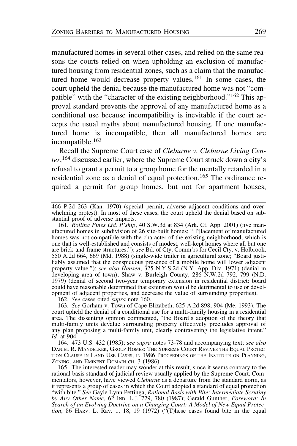manufactured homes in several other cases, and relied on the same reasons the courts relied on when upholding an exclusion of manufactured housing from residential zones, such as a claim that the manufactured home would decrease property values.<sup>161</sup> In some cases, the court upheld the denial because the manufactured home was not "compatible" with the "character of the existing neighborhood."<sup>162</sup> This approval standard prevents the approval of any manufactured home as a conditional use because incompatibility is inevitable if the court accepts the usual myths about manufactured housing. If one manufactured home is incompatible, then all manufactured homes are incompatible.<sup>163</sup>

Recall the Supreme Court case of Cleburne v. Cleburne Living Center,<sup>164</sup> discussed earlier, where the Supreme Court struck down a city's refusal to grant a permit to a group home for the mentally retarded in a residential zone as a denial of equal protection.<sup>165</sup> The ordinance required a permit for group homes, but not for apartment houses.

161. Rolling Pines Ltd. P'ship, 40 S.W.3d at 834 (Ark. Ct. App. 2001) (five manufactured homes in subdivision of 26 site-built homes; "[P]lacement of manufactured homes was not compatible with the character of the existing neighborhood, which is one that is well-established and consists of modest, well-kept homes where all but one are brick-and-frame structures."); see Bd. of Cty. Comm'rs for Cecil Cty. v. Holbrook, 550 A.2d 664, 669 (Md. 1988) (single-wide trailer in agricultural zone; "Board justifiably assumed that the conspicuous presence of a mobile home will lower adjacent property value."); see also Hansen, 325 N.Y.S.2d (N.Y. App. Div. 1971) (denial in developing area of town); Shaw v. Burleigh County, 286 N.W.2d 792, 799 (N.D. 1979) (denial of second two-year temporary extension in residential district: board could have reasonable determined that extension would be detrimental to use or development of adjacent properties, and decrease the value of surrounding properties).

162. See cases cited supra note 160.

163. See Gorham v. Town of Cape Elizabeth, 625 A.2d 898, 904 (Me. 1993). The court upheld the denial of a conditional use for a multi-family housing in a residential area. The dissenting opinion commented, "the Board's adoption of the theory that multi-family units devalue surrounding property effectively precludes approval of any plan proposing a multi-family unit, clearly contravening the legislative intent." Id. at 904.

164. 473 U.S. 432 (1985); see supra notes 73-78 and accompanying text; see also DANIEL R. MANDELKER, GROUP HOMES: THE SUPREME COURT REVIVES THE EQUAL PROTEC-TION CLAUSE IN LAND USE CASES, IN 1986 PROCEEDINGS OF THE INSTITUTE ON PLANNING, ZONING, AND EMINENT DOMAIN CH. 3 (1986).

165. The interested reader may wonder at this result, since it seems contrary to the rational basis standard of judicial review usually applied by the Supreme Court. Commentators, however, have viewed *Cleburne* as a departure from the standard norm, as it represents a group of cases in which the Court adopted a standard of equal protection "with bite." See Gayle Lynn Pettinga, Rational Basis with Bite: Intermediate Scrutiny by Any Other Name, 62 IND. L.J. 779, 780 (1987); Gerald Gunther, Foreword: In Search of an Evolving Doctrine on a Changing Court: A Model of New Equal Protection,  $86$  HARV. L. REV. 1, 18, 19 (1972) ("(T)hese cases found bite in the equal

<sup>466</sup> P.2d 263 (Kan. 1970) (special permit, adverse adjacent conditions and overwhelming protest). In most of these cases, the court upheld the denial based on substantial proof of adverse impacts.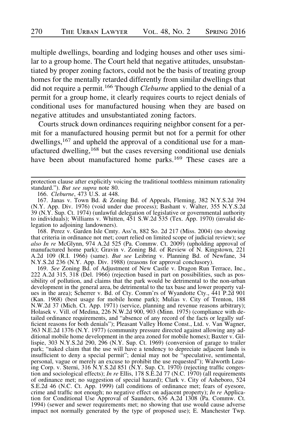multiple dwellings, boarding and lodging houses and other uses similar to a group home. The Court held that negative attitudes, unsubstantiated by proper zoning factors, could not be the basis of treating group homes for the mentally retarded differently from similar dwellings that did not require a permit.<sup>166</sup> Though *Cleburne* applied to the denial of a permit for a group home, it clearly requires courts to reject denials of conditional uses for manufactured housing when they are based on negative attitudes and unsubstantiated zoning factors.

Courts struck down ordinances requiring neighbor consent for a permit for a manufactured housing permit but not for a permit for other dwellings,<sup>167</sup> and upheld the approval of a conditional use for a manufactured dwelling,<sup>168</sup> but the cases reversing conditional use denials have been about manufactured home parks.<sup>169</sup> These cases are a

166. Cleburne, 473 U.S. at 448.

168. Perez v. Garden Isle Cmty. Ass'n, 882 So. 2d 217 (Miss. 2004) (no showing that criteria in ordinance not met; court relied on limited scope of judicial review); see *also In re* McGlynn, 974 A.2d 525 (Pa. Commw. Ct. 2009) (upholding approval of manufactured home park); Gravin v. Zoning Bd. of Review of N. Kingstown, 221 A.2d 109 (R.I. 1966) (same). But see Leibring v. Planning Bd. of Newfane, 34 N.Y.S.2d 236 (N.Y. App. Div. 1988) (reasons for approval conclusory).

169. See Zoning Bd. of Adjustment of New Castle v. Dragon Run Terrace, Inc., 222 A.2d 315, 318 (Del. 1966) (rejection based in part on possibilities, such as possibility of pollution, and claims that the park would be detrimental to the non-urban development in the general area, be detrimental to the tax base and lower property values in the area); Scherrer v. Bd. of Cty. Comm'rs of Wyandotte Cty., 441 P.2d 901 (Kan. 1968) (best usage for mobile home park); Mulias v. City of Trenton, 188 N.W.2d 37 (Mich. Ct. App. 1971) (service, planning and revenue reasons arbitrary); Holasek v. Vill. of Medina, 226 N.W.2d 900, 903 (Minn. 1975) (compliance with detailed ordinance requirements, and "absence of any record of the facts or legally sufficient reasons for both denials"); Pleasant Valley Home Const., Ltd. v. Van Wagner, 363 N.E.2d 1376 (N.Y. 1977) (community pressure directed against allowing any additional mobile home development in the area zoned for mobile homes); Baxter v. Gillispie, 303 N.Y.S.2d 290, 296 (N.Y. Sup. Ct. 1969) (conversion of garage to trailer park; "naked claim that the use will have a tendency to depreciate adjacent lands is insufficient to deny a special permit"; denial may not be "speculative, sentimental, personal, vague or merely an excuse to prohibit the use requested"); Walworth Leasing Corp. v. Sterni, 316 N.Y.S.2d 851 (N.Y. Sup. Ct. 1970) (rejecting traffic congestion and sociological effects); In re Ellis, 178 S.E.2d 77 (N.C. 1970) (all requirements of ordinance met; no suggestion of special hazard); Clark v. City of Asheboro, 524 S.E.2d 46 (N.C. Ct. App. 1999) (all conditions of ordinance met; fears of eyesore, crime and traffic not enough; no negative effect on adjacent property); In re Application for Conditional Use Approval of Saunders, 636 A.2d 1308 (Pa. Commw. Ct. 1994) (sewer and sewer requirements met; no showing that use would cause adverse impact not normally generated by the type of proposed use); E. Manchester Twp.

protection clause after explicitly voicing the traditional toothless minimum rationality standard."). But see supra note 80.

<sup>167.</sup> Janas v. Town Bd. & Zoning Bd. of Appeals, Fleming, 382 N.Y.S.2d 394 (N.Y. App. Div. 1976) (void under due process); Bashant v. Walter, 355 N.Y.S.2d 39 (N.Y. Sup. Ct. 1974) (unlawful delegation of legislative or governmental authority to individuals); Williams v. Whitten, 451 S.W.2d 535 (Tex. App. 1970) (invalid delegation to adjoining landowners).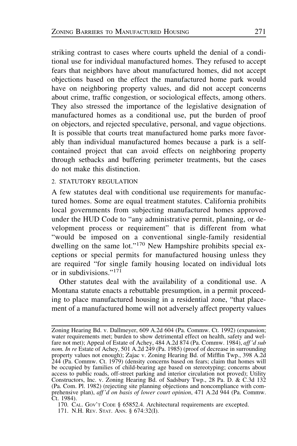striking contrast to cases where courts upheld the denial of a conditional use for individual manufactured homes. They refused to accept fears that neighbors have about manufactured homes, did not accept objections based on the effect the manufactured home park would have on neighboring property values, and did not accept concerns about crime, traffic congestion, or sociological effects, among others. They also stressed the importance of the legislative designation of manufactured homes as a conditional use, put the burden of proof on objectors, and rejected speculative, personal, and vague objections. It is possible that courts treat manufactured home parks more favorably than individual manufactured homes because a park is a selfcontained project that can avoid effects on neighboring property through setbacks and buffering perimeter treatments, but the cases do not make this distinction.

#### 2. STATUTORY REGULATION

A few statutes deal with conditional use requirements for manufactured homes. Some are equal treatment statutes. California prohibits local governments from subjecting manufactured homes approved under the HUD Code to "any administrative permit, planning, or development process or requirement" that is different from what "would be imposed on a conventional single-family residential dwelling on the same lot."<sup>170</sup> New Hampshire prohibits special exceptions or special permits for manufactured housing unless they are required "for single family housing located on individual lots or in subdivisions."<sup>171</sup>

Other statutes deal with the availability of a conditional use. A Montana statute enacts a rebuttable presumption, in a permit proceeding to place manufactured housing in a residential zone, "that placement of a manufactured home will not adversely affect property values

Zoning Hearing Bd. v. Dallmeyer, 609 A.2d 604 (Pa. Commw. Ct. 1992) (expansion; water requirements met; burden to show detrimental effect on health, safety and welfare not met); Appeal of Estate of Achey, 484 A.2d 874 (Pa. Commw. 1984), aff'd sub nom. In re Estate of Achey, 501 A.2d 249 (Pa. 1985) (proof of decrease in surrounding property values not enough); Zajac v. Zoning Hearing Bd. of Mifflin Twp., 398 A.2d 244 (Pa. Commw. Ct. 1979) (density concerns based on fears; claim that homes will be occupied by families of child-bearing age based on stereotyping; concerns about access to public roads, off-street parking and interior circulation not proved); Utility Constructors, Inc. v. Zoning Hearing Bd. of Sadsbury Twp., 28 Pa. D. & C.3d 132 (Pa. Com. Pl. 1982) (rejecting site planning objections and noncompliance with comprehensive plan), aff'd on basis of lower court opinion, 471 A.2d 944 (Pa. Commw. Ct. 1984).

<sup>170.</sup> CAL. GOV'T CODE § 65852.4. Architectural requirements are excepted. 171. N.H. REV. STAT. ANN. § 674:32(I).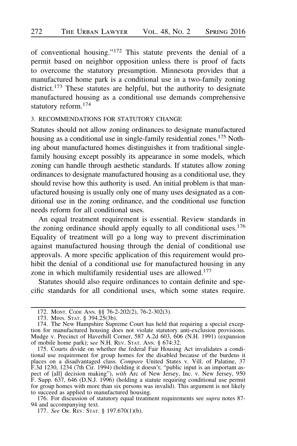of conventional housing."<sup>172</sup> This statute prevents the denial of a permit based on neighbor opposition unless there is proof of facts to overcome the statutory presumption. Minnesota provides that a manufactured home park is a conditional use in a two-family zoning district.<sup>173</sup> These statutes are helpful, but the authority to designate manufactured housing as a conditional use demands comprehensive statutory reform.<sup>174</sup>

# 3. RECOMMENDATIONS FOR STATUTORY CHANGE

Statutes should not allow zoning ordinances to designate manufactured housing as a conditional use in single-family residential zones.<sup>175</sup> Nothing about manufactured homes distinguishes it from traditional singlefamily housing except possibly its appearance in some models, which zoning can handle through aesthetic standards. If statutes allow zoning ordinances to designate manufactured housing as a conditional use, they should revise how this authority is used. An initial problem is that manufactured housing is usually only one of many uses designated as a conditional use in the zoning ordinance, and the conditional use function needs reform for all conditional uses.

An equal treatment requirement is essential. Review standards in the zoning ordinance should apply equally to all conditional uses. $176$ Equality of treatment will go a long way to prevent discrimination against manufactured housing through the denial of conditional use approvals. A more specific application of this requirement would prohibit the denial of a conditional use for manufactured housing in any zone in which multifamily residential uses are allowed.<sup>177</sup>

Statutes should also require ordinances to contain definite and specific standards for all conditional uses, which some states require.

<sup>172.</sup> MONT. CODE ANN. §§ 76-2-202(2), 76-2-302(3).

<sup>173.</sup> MINN. STAT. § 394.25(3b).

<sup>174.</sup> The New Hampshire Supreme Court has held that requiring a special exception for manufactured housing does not violate statutory anti-exclusion provisions. Mudge v. Precinct of Haverhill Corner, 587 A.2d 603, 606 (N.H. 1991) (expansion of mobile home park); see N.H. REV. STAT. ANN. § 674:32.

<sup>175.</sup> Courts divide on whether the federal Fair Housing Act invalidates a conditional use requirement for group homes for the disabled because of the burdens it places on a disadvantaged class. Compare United States v. Vill. of Palatine, 37 F.3d 1230, 1234 (7th Cir. 1994) (holding it doesn't; "public input is an important aspect of [all] decision making"), with Arc of New Jersey, Inc. v. New Jersey, 950 F. Supp. 637, 646 (D.N.J. 1996) (holding a statute requiring conditional use permit for group homes with more than six persons was invalid). This argument is not likely to succeed as applied to manufactured housing.

<sup>176.</sup> For discussion of statutory equal treatment requirements see *supra* notes 87-94 and accompanying text.

<sup>177.</sup> See OR. REV. STAT. § 197.670(1)(b).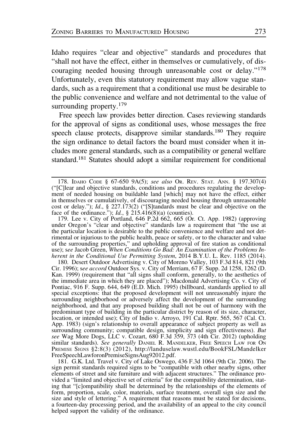Idaho requires "clear and objective" standards and procedures that "shall not have the effect, either in themselves or cumulatively, of discouraging needed housing through unreasonable cost or delay."<sup>178</sup> Unfortunately, even this statutory requirement may allow vague standards, such as a requirement that a conditional use must be desirable to the public convenience and welfare and not detrimental to the value of surrounding property.<sup>179</sup>

Free speech law provides better direction. Cases reviewing standards for the approval of signs as conditional uses, whose messages the free speech clause protects, disapprove similar standards.<sup>180</sup> They require the sign ordinance to detail factors the board must consider when it includes more general standards, such as a compatibility or general welfare standard.181 Statutes should adopt a similar requirement for conditional

179. Lee v. City of Portland, 646 P.2d 662, 665 (Or. Ct. App. 1982) (approving under Oregon's "clear and objective" standards law a requirement that "the use at the particular location is desirable to the public convenience and welfare and not detrimental or injurious to the public health, peace or safety, or to the character and value of the surrounding properties," and upholding approval of fire station as conditional use); see Jacob Green, When Conditions Go Bad: An Examination of the Problems Inherent in the Conditional Use Permitting System, 2014 B.Y.U. L. Rev. 1185 (2014).

180. Desert Outdoor Advertising v. City of Moreno Valley, 103 F.3d 814, 821 (9th Cir. 1996); see accord Outdoor Sys. v. City of Merriam, 67 F. Supp. 2d 1258, 1262 (D. Kan. 1999) (requirement that "all signs shall conform, generally, to the aesthetics of the immediate area in which they are placed"); Macdonald Advertising Co. v. City of Pontiac, 916 F. Supp. 644, 649 (E.D. Mich. 1995) (billboard, standards applied to all special exceptions: that the proposed development will not unreasonably injure the surrounding neighborhood or adversely affect the development of the surrounding neighborhood, and that any proposed building shall not be out of harmony with the predominant type of building in the particular district by reason of its size, character, location, or intended use); City of Indio v. Arroyo, 191 Cal. Rptr. 565, 567 (Cal. Ct. App. 1983) (sign's relationship to overall appearance of subject property as well as surrounding community; compatible design, simplicity and sign effectiveness). But see Wag More Dogs, LLC v. Cozart, 680 F.3d 359, 373 (4th Cir. 2012) (upholding similar standards). See generally DANIEL R. MANDELKER, FREE SPEECH LAW FOR ON PREMISE SIGNS §2:8(3) (2012), http://landuselaw.wustl.edu/BookFSL/Mandelker FreeSpeechLawforonPremiseSignsAug92012.pdf.

181. G.K. Ltd. Travel v. City of Lake Oswego, 436 F.3d 1064 (9th Cir. 2006). The sign permit standards required signs to be "compatible with other nearby signs, other elements of street and site furniture and with adjacent structures." The ordinance provided a "limited and objective set of criteria" for the compatibility determination, stating that "[c]ompatibility shall be determined by the relationships of the elements of form, proportion, scale, color, materials, surface treatment, overall sign size and the size and style of lettering." A requirement that reasons must be stated for decisions, a fourteen-day processing period, and the availability of an appeal to the city council helped support the validity of the ordinance.

<sup>178.</sup> IDAHO CODE § 67-650 9A(5); see also OR. REV. STAT. ANN. § 197.307(4) ("[C]lear and objective standards, conditions and procedures regulating the development of needed housing on buildable land [which] may not have the effect, either in themselves or cumulatively, of discouraging needed housing through unreasonable cost or delay."); Id., § 227.173(2) ("[S]tandards must be clear and objective on the face of the ordinance.");  $Id.$ , § 215.416(8)(a) (counties).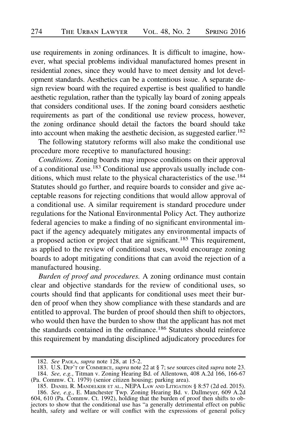use requirements in zoning ordinances. It is difficult to imagine, however, what special problems individual manufactured homes present in residential zones, since they would have to meet density and lot development standards. Aesthetics can be a contentious issue. A separate design review board with the required expertise is best qualified to handle aesthetic regulation, rather than the typically lay board of zoning appeals that considers conditional uses. If the zoning board considers aesthetic requirements as part of the conditional use review process, however, the zoning ordinance should detail the factors the board should take into account when making the aesthetic decision, as suggested earlier.<sup>182</sup>

The following statutory reforms will also make the conditional use procedure more receptive to manufactured housing:

Conditions. Zoning boards may impose conditions on their approval of a conditional use.<sup>183</sup> Conditional use approvals usually include conditions, which must relate to the physical characteristics of the use.<sup>184</sup> Statutes should go further, and require boards to consider and give acceptable reasons for rejecting conditions that would allow approval of a conditional use. A similar requirement is standard procedure under regulations for the National Environmental Policy Act. They authorize federal agencies to make a finding of no significant environmental impact if the agency adequately mitigates any environmental impacts of a proposed action or project that are significant.<sup>185</sup> This requirement, as applied to the review of conditional uses, would encourage zoning boards to adopt mitigating conditions that can avoid the rejection of a manufactured housing.

Burden of proof and procedures. A zoning ordinance must contain clear and objective standards for the review of conditional uses, so courts should find that applicants for conditional uses meet their burden of proof when they show compliance with these standards and are entitled to approval. The burden of proof should then shift to objectors, who would then have the burden to show that the applicant has not met the standards contained in the ordinance.<sup>186</sup> Statutes should reinforce this requirement by mandating disciplined adjudicatory procedures for

<sup>182.</sup> See PAOLA, supra note 128, at 15-2.

<sup>183.</sup> U.S. DEP'T OF COMMERCE, supra note 22 at § 7; see sources cited supra note 23. 184. See, e.g., Titman v. Zoning Hearing Bd. of Allentown, 408 A.2d 166, 166-67 (Pa. Commw. Ct. 1979) (senior citizen housing; parking area).

<sup>185.</sup> DANIEL R. MANDELKER ET AL., NEPA LAW AND LITIGATION § 8:57 (2d ed. 2015). 186. See, e.g., E. Manchester Twp. Zoning Hearing Bd. v. Dallmeyer, 609 A.2d 604, 610 (Pa. Commw. Ct. 1992), holding that the burden of proof then shifts to objectors to show that the conditional use has "a generally detrimental effect on public health, safety and welfare or will conflict with the expressions of general policy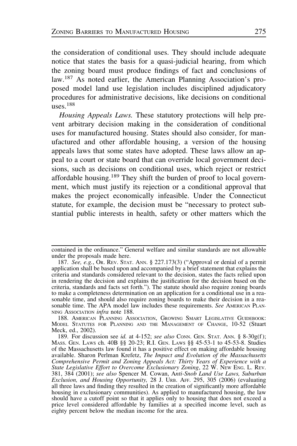the consideration of conditional uses. They should include adequate notice that states the basis for a quasi-judicial hearing, from which the zoning board must produce findings of fact and conclusions of law.187 As noted earlier, the American Planning Association's proposed model land use legislation includes disciplined adjudicatory procedures for administrative decisions, like decisions on conditional  $_{\text{HRR}}$  188

Housing Appeals Laws. These statutory protections will help prevent arbitrary decision making in the consideration of conditional uses for manufactured housing. States should also consider, for manufactured and other affordable housing, a version of the housing appeals laws that some states have adopted. These laws allow an appeal to a court or state board that can override local government decisions, such as decisions on conditional uses, which reject or restrict affordable housing.<sup>189</sup> They shift the burden of proof to local government, which must justify its rejection or a conditional approval that makes the project economically infeasible. Under the Connecticut statute, for example, the decision must be "necessary to protect substantial public interests in health, safety or other matters which the

contained in the ordinance." General welfare and similar standards are not allowable under the proposals made here.

<sup>187.</sup> See, e.g., Or. REV. STAT. ANN. § 227.173(3) ("Approval or denial of a permit application shall be based upon and accompanied by a brief statement that explains the criteria and standards considered relevant to the decision, states the facts relied upon in rendering the decision and explains the justification for the decision based on the criteria, standards and facts set forth."). The statute should also require zoning boards to make a completeness determination on an application for a conditional use in a reasonable time, and should also require zoning boards to make their decision in a reasonable time. The APA model law includes these requirements. See AMERICAN PLAN-NING Association infra note 188.

<sup>188.</sup> AMERICAN PLANNING ASSOCIATION, GROWING SMART LEGISLATIVE GUIDEBOOK: MODEL STATUTES FOR PLANNING AND THE MANAGEMENT OF CHANGE, 10-52 (Stuart Meck, ed., 2002).

<sup>189.</sup> For discussion see id. at 4-152; see also CONN. GEN. STAT. ANN. § 8-30g(f); MASS. GEN. LAWS ch. 40B §§ 20-23; R.I. GEN. LAWS §§ 45-53-1 to 45-53-8. Studies of the Massachusetts law found it has a positive effect on making affordable housing available. Sharon Perlman Krefetz, The Impact and Evolution of the Massachusetts Comprehensive Permit and Zoning Appeals Act: Thirty Years of Experience with a State Legislative Effort to Overcome Exclusionary Zoning, 22 W. NEW ENG. L. REV. 381, 384 (2001); see also Spencer M. Cowan, Anti-Snob Land Use Laws, Suburban Exclusion, and Housing Opportunity, 28 J. URB. AFF. 295, 305 (2006) (evaluating all three laws and finding they resulted in the creation of significantly more affordable housing in exclusionary communities). As applied to manufactured housing, the law should have a cutoff point so that it applies only to housing that does not exceed a price level considered affordable by families at a specified income level, such as eighty percent below the median income for the area.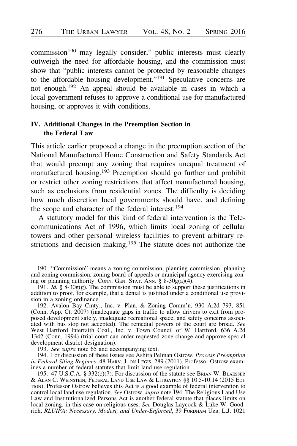commission<sup>190</sup> may legally consider," public interests must clearly outweigh the need for affordable housing, and the commission must show that "public interests cannot be protected by reasonable changes to the affordable housing development."191 Speculative concerns are not enough.192 An appeal should be available in cases in which a local government refuses to approve a conditional use for manufactured housing, or approves it with conditions.

# IV. Additional Changes in the Preemption Section in the Federal Law

This article earlier proposed a change in the preemption section of the National Manufactured Home Construction and Safety Standards Act that would preempt any zoning that requires unequal treatment of manufactured housing.193 Preemption should go further and prohibit or restrict other zoning restrictions that affect manufactured housing, such as exclusions from residential zones. The difficulty is deciding how much discretion local governments should have, and defining the scope and character of the federal interest.<sup>194</sup>

A statutory model for this kind of federal intervention is the Telecommunications Act of 1996, which limits local zoning of cellular towers and other personal wireless facilities to prevent arbitrary restrictions and decision making.<sup>195</sup> The statute does not authorize the

193. See supra note  $6\overline{5}$  and accompanying text.

194. For discussion of these issues see Ashira Pelman Ostrow, Process Preemption in Federal Siting Regimes, 48 HARV. J. ON LEGIS. 289 (2011). Professor Ostrow examines a number of federal statutes that limit land use regulation.

<sup>190. &</sup>quot;Commission" means a zoning commission, planning commission, planning and zoning commission, zoning board of appeals or municipal agency exercising zoning or planning authority. CONN. GEN. STAT. ANN. § 8-30g(a)(4).

<sup>191.</sup> *Id.* § 8-30g(g). The commission must be able to support these justifications in addition to proof, for example, that a denial is justified under a conditional use provision in a zoning ordinance.

<sup>192.</sup> Avalon Bay Cmty., Inc. v. Plan. & Zoning Comm'n, 930 A.2d 793, 851 (Conn. App. Ct. 2007) (inadequate gaps in traffic to allow drivers to exit from proposed development safely, inadequate recreational space, and safety concerns associated with bus stop not accepted). The remedial powers of the court are broad. See West Hartford Interfaith Coal., Inc. v. Town Council of W. Hartford, 636 A.2d 1342 (Conn. 1994) (trial court can order requested zone change and approve special development district designation).

<sup>195. 47</sup> U.S.C.A. § 332(c)(7). For discussion of the statute see BRIAN W. BLAESSER & ALAN C. WEINSTEIN, FEDERAL LAND USE LAW & LITIGATION §§ 10.5-10.14 (2015 EDI-TION). Professor Ostrow believes this Act is a good example of federal intervention to control local land use regulation. See Ostrow, *supra* note 194. The Religious Land Use Law and Institutionalized Persons Act is another federal statute that places limits on local zoning, in this case on religious uses. See Douglas Laycock & Luke W. Goodrich, RLUIPA: Necessary, Modest, and Under-Enforced, 39 FORDHAM URB. L.J. 1021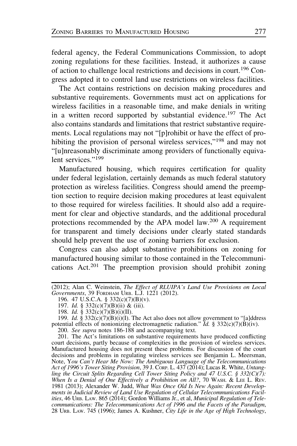federal agency, the Federal Communications Commission, to adopt zoning regulations for these facilities. Instead, it authorizes a cause of action to challenge local restrictions and decisions in court.<sup>196</sup> Congress adopted it to control land use restrictions on wireless facilities.

The Act contains restrictions on decision making procedures and substantive requirements. Governments must act on applications for wireless facilities in a reasonable time, and make denials in writing in a written record supported by substantial evidence.<sup>197</sup> The Act also contains standards and limitations that restrict substantive requirements. Local regulations may not "[p]rohibit or have the effect of prohibiting the provision of personal wireless services,"<sup>198</sup> and may not "[u]nreasonably discriminate among providers of functionally equivalent services<sup>"199</sup>

Manufactured housing, which requires certification for quality under federal legislation, certainly demands as much federal statutory protection as wireless facilities. Congress should amend the preemption section to require decision making procedures at least equivalent to those required for wireless facilities. It should also add a requirement for clear and objective standards, and the additional procedural protections recommended by the APA model law.<sup>200</sup> A requirement for transparent and timely decisions under clearly stated standards should help prevent the use of zoning barriers for exclusion.

Congress can also adopt substantive prohibitions on zoning for manufactured housing similar to those contained in the Telecommunications Act.<sup>201</sup> The preemption provision should prohibit zoning

201. The Act's limitations on substantive requirements have produced conflicting court decisions, partly because of complexities in the provision of wireless services. Manufactured housing does not present these problems. For discussion of the court decisions and problems in regulating wireless services see Benjamin L. Meersman, Note, You Can't Hear Me Now: The Ambiguous Language of the Telecommunications Act of 1996's Tower Siting Provision, 39 J. Corp. L. 437 (2014); Lucas R. White, Untangling the Circuit Splits Regarding Cell Tower Siting Policy and 47 U.S.C. § 332(C)(7): When Is a Denial of One Effectively a Prohibition on All?, 70 WASH. & LEE L. REV. 1981 (2013); Alexander W. Judd, What Was Once Old Is New Again: Recent Developments in Judicial Review of Land Use Regulation of Cellular Telecommunications Facilities, 46 URB. LAW. 865 (2014); Gordon Williams Jr., et al, Municipal Regulation of Telecommunications: The Telecommunications Act of 1996 and the Facets of the Paradigm, 28 URB. LAW. 745 (1996); James A. Kushner,  $\overset{\sim}{C}$ ity Life in the Age of High Technology,

<sup>(2012);</sup> Alan C. Weinstein, The Effect of RLUIPA's Land Use Provisions on Local Governments, 39 FORDHAM URB. L.J. 1221 (2012).

<sup>196. 47</sup> U.S.C.A. § 332(c)(7)(B)(v).

<sup>197.</sup> Id. § 332(c)(7)(B)(ii) & (iii).

<sup>198.</sup> Id. § 332(c)(7)(B)(i)(II).

<sup>199.</sup> Id. § 332(c)(7)(B)(i)(I). The Act also does not allow government to "[a]ddress potential effects of nonionizing electromagnetic radiation." Id. § 332(c)(7)(B)(iv). 200. See supra notes 186-188 and accompanying text.